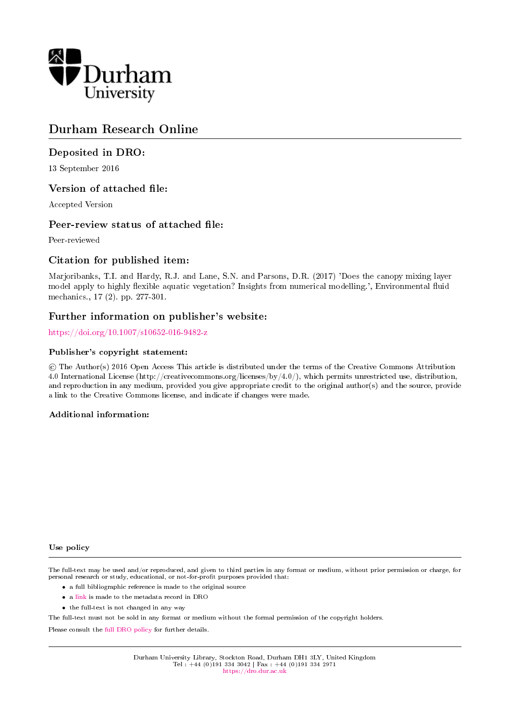

# Durham Research Online

## Deposited in DRO:

13 September 2016

### Version of attached file:

Accepted Version

### Peer-review status of attached file:

Peer-reviewed

### Citation for published item:

Marjoribanks, T.I. and Hardy, R.J. and Lane, S.N. and Parsons, D.R. (2017) 'Does the canopy mixing layer model apply to highly flexible aquatic vegetation? Insights from numerical modelling.', Environmental fluid mechanics., 17 (2). pp. 277-301.

### Further information on publisher's website:

<https://doi.org/10.1007/s10652-016-9482-z>

#### Publisher's copyright statement:

 c The Author(s) 2016 Open Access This article is distributed under the terms of the Creative Commons Attribution 4.0 International License (http://creativecommons.org/licenses/by/4.0/), which permits unrestricted use, distribution, and reproduction in any medium, provided you give appropriate credit to the original author(s) and the source, provide a link to the Creative Commons license, and indicate if changes were made.

### Additional information:

#### Use policy

The full-text may be used and/or reproduced, and given to third parties in any format or medium, without prior permission or charge, for personal research or study, educational, or not-for-profit purposes provided that:

- a full bibliographic reference is made to the original source
- a [link](http://dro.dur.ac.uk/19751/) is made to the metadata record in DRO
- the full-text is not changed in any way

The full-text must not be sold in any format or medium without the formal permission of the copyright holders.

Please consult the [full DRO policy](https://dro.dur.ac.uk/policies/usepolicy.pdf) for further details.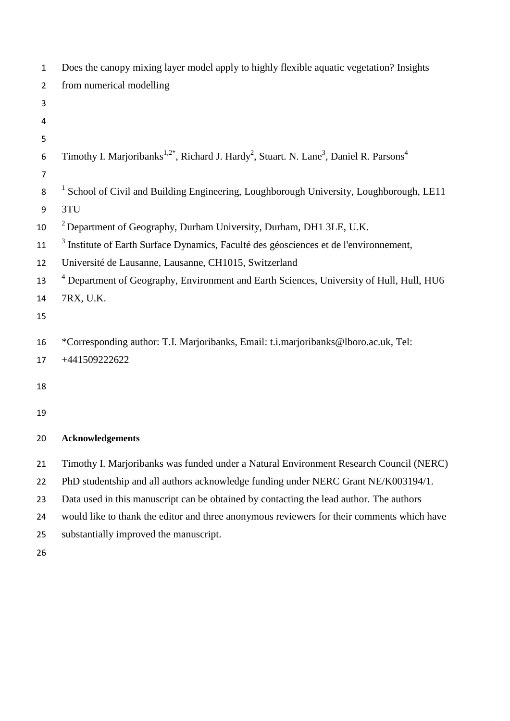| $\mathbf{1}$   | Does the canopy mixing layer model apply to highly flexible aquatic vegetation? Insights                                                |
|----------------|-----------------------------------------------------------------------------------------------------------------------------------------|
| $\overline{2}$ | from numerical modelling                                                                                                                |
| 3              |                                                                                                                                         |
| 4              |                                                                                                                                         |
| 5              |                                                                                                                                         |
| 6              | Timothy I. Marjoribanks <sup>1,2*</sup> , Richard J. Hardy <sup>2</sup> , Stuart. N. Lane <sup>3</sup> , Daniel R. Parsons <sup>4</sup> |
| $\overline{7}$ |                                                                                                                                         |
| 8              | School of Civil and Building Engineering, Loughborough University, Loughborough, LE11                                                   |
| 9              | 3TU                                                                                                                                     |
| 10             | <sup>2</sup> Department of Geography, Durham University, Durham, DH1 3LE, U.K.                                                          |
| 11             | <sup>3</sup> Institute of Earth Surface Dynamics, Faculté des géosciences et de l'environnement,                                        |
| 12             | Université de Lausanne, Lausanne, CH1015, Switzerland                                                                                   |
| 13             | <sup>4</sup> Department of Geography, Environment and Earth Sciences, University of Hull, Hull, HU6                                     |
| 14             | 7RX, U.K.                                                                                                                               |
| 15             |                                                                                                                                         |
| 16             | *Corresponding author: T.I. Marjoribanks, Email: t.i.marjoribanks@lboro.ac.uk, Tel:                                                     |
| 17             | +441509222622                                                                                                                           |
|                |                                                                                                                                         |
| 18             |                                                                                                                                         |
| 19             |                                                                                                                                         |
| 20             | <b>Acknowledgements</b>                                                                                                                 |
|                |                                                                                                                                         |
| 21             | Timothy I. Marjoribanks was funded under a Natural Environment Research Council (NERC)                                                  |
| 22             | PhD studentship and all authors acknowledge funding under NERC Grant NE/K003194/1.                                                      |
| 23             | Data used in this manuscript can be obtained by contacting the lead author. The authors                                                 |
| 24             | would like to thank the editor and three anonymous reviewers for their comments which have                                              |
| 25             | substantially improved the manuscript.                                                                                                  |
| 26             |                                                                                                                                         |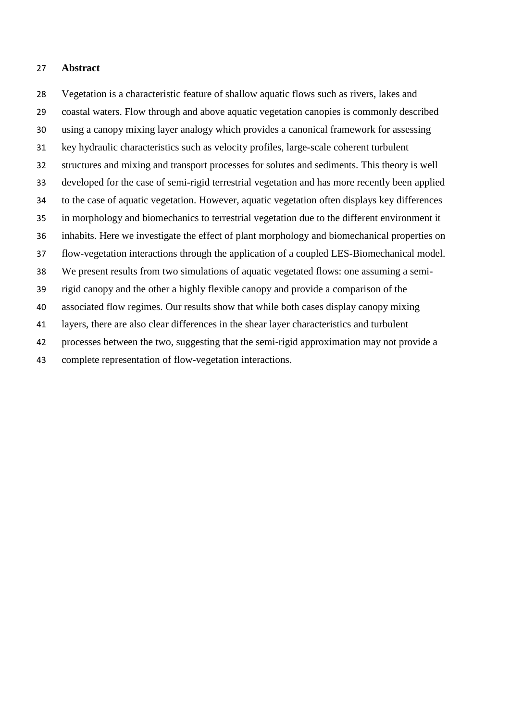### **Abstract**

 Vegetation is a characteristic feature of shallow aquatic flows such as rivers, lakes and coastal waters. Flow through and above aquatic vegetation canopies is commonly described using a canopy mixing layer analogy which provides a canonical framework for assessing key hydraulic characteristics such as velocity profiles, large-scale coherent turbulent structures and mixing and transport processes for solutes and sediments. This theory is well developed for the case of semi-rigid terrestrial vegetation and has more recently been applied to the case of aquatic vegetation. However, aquatic vegetation often displays key differences in morphology and biomechanics to terrestrial vegetation due to the different environment it inhabits. Here we investigate the effect of plant morphology and biomechanical properties on flow-vegetation interactions through the application of a coupled LES-Biomechanical model. We present results from two simulations of aquatic vegetated flows: one assuming a semi- rigid canopy and the other a highly flexible canopy and provide a comparison of the associated flow regimes. Our results show that while both cases display canopy mixing layers, there are also clear differences in the shear layer characteristics and turbulent processes between the two, suggesting that the semi-rigid approximation may not provide a complete representation of flow-vegetation interactions.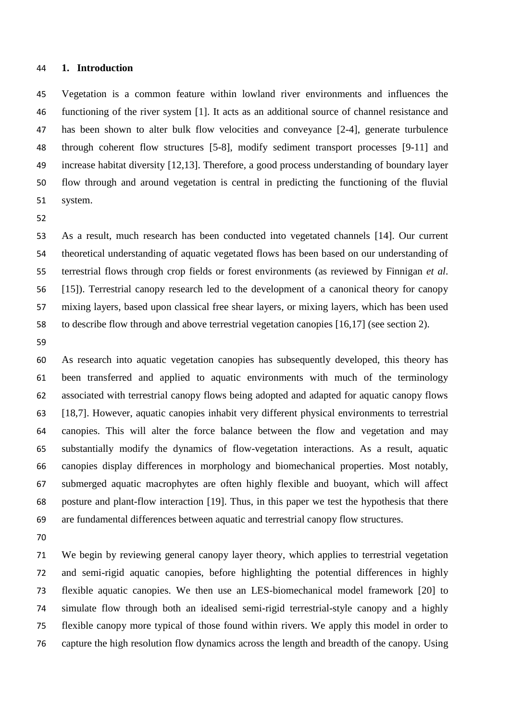### **1. Introduction**

 Vegetation is a common feature within lowland river environments and influences the functioning of the river system [1]. It acts as an additional source of channel resistance and has been shown to alter bulk flow velocities and conveyance [2-4], generate turbulence through coherent flow structures [5-8], modify sediment transport processes [9-11] and increase habitat diversity [12,13]. Therefore, a good process understanding of boundary layer flow through and around vegetation is central in predicting the functioning of the fluvial system.

#### 

 As a result, much research has been conducted into vegetated channels [14]. Our current theoretical understanding of aquatic vegetated flows has been based on our understanding of terrestrial flows through crop fields or forest environments (as reviewed by Finnigan *et al*. [15]). Terrestrial canopy research led to the development of a canonical theory for canopy mixing layers, based upon classical free shear layers, or mixing layers, which has been used to describe flow through and above terrestrial vegetation canopies [16,17] (see section 2).

 As research into aquatic vegetation canopies has subsequently developed, this theory has been transferred and applied to aquatic environments with much of the terminology associated with terrestrial canopy flows being adopted and adapted for aquatic canopy flows [18,7]. However, aquatic canopies inhabit very different physical environments to terrestrial canopies. This will alter the force balance between the flow and vegetation and may substantially modify the dynamics of flow-vegetation interactions. As a result, aquatic canopies display differences in morphology and biomechanical properties. Most notably, submerged aquatic macrophytes are often highly flexible and buoyant, which will affect posture and plant-flow interaction [19]. Thus, in this paper we test the hypothesis that there are fundamental differences between aquatic and terrestrial canopy flow structures.

 We begin by reviewing general canopy layer theory, which applies to terrestrial vegetation and semi-rigid aquatic canopies, before highlighting the potential differences in highly flexible aquatic canopies. We then use an LES-biomechanical model framework [20] to simulate flow through both an idealised semi-rigid terrestrial-style canopy and a highly flexible canopy more typical of those found within rivers. We apply this model in order to capture the high resolution flow dynamics across the length and breadth of the canopy. Using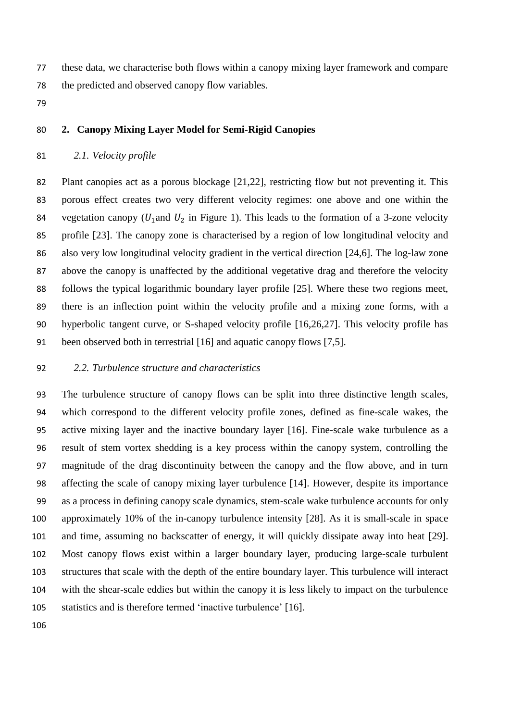these data, we characterise both flows within a canopy mixing layer framework and compare the predicted and observed canopy flow variables.

### **2. Canopy Mixing Layer Model for Semi-Rigid Canopies**

### *2.1. Velocity profile*

 Plant canopies act as a porous blockage [21,22], restricting flow but not preventing it. This porous effect creates two very different velocity regimes: one above and one within the 84 vegetation canopy ( $U_1$  and  $U_2$  in Figure 1). This leads to the formation of a 3-zone velocity profile [23]. The canopy zone is characterised by a region of low longitudinal velocity and also very low longitudinal velocity gradient in the vertical direction [24,6]. The log-law zone above the canopy is unaffected by the additional vegetative drag and therefore the velocity follows the typical logarithmic boundary layer profile [25]. Where these two regions meet, there is an inflection point within the velocity profile and a mixing zone forms, with a hyperbolic tangent curve, or S-shaped velocity profile [16,26,27]. This velocity profile has been observed both in terrestrial [16] and aquatic canopy flows [7,5].

### *2.2. Turbulence structure and characteristics*

 The turbulence structure of canopy flows can be split into three distinctive length scales, which correspond to the different velocity profile zones, defined as fine-scale wakes, the active mixing layer and the inactive boundary layer [16]. Fine-scale wake turbulence as a result of stem vortex shedding is a key process within the canopy system, controlling the magnitude of the drag discontinuity between the canopy and the flow above, and in turn affecting the scale of canopy mixing layer turbulence [14]. However, despite its importance as a process in defining canopy scale dynamics, stem-scale wake turbulence accounts for only approximately 10% of the in-canopy turbulence intensity [28]. As it is small-scale in space and time, assuming no backscatter of energy, it will quickly dissipate away into heat [29]. Most canopy flows exist within a larger boundary layer, producing large-scale turbulent structures that scale with the depth of the entire boundary layer. This turbulence will interact with the shear-scale eddies but within the canopy it is less likely to impact on the turbulence statistics and is therefore termed 'inactive turbulence' [16].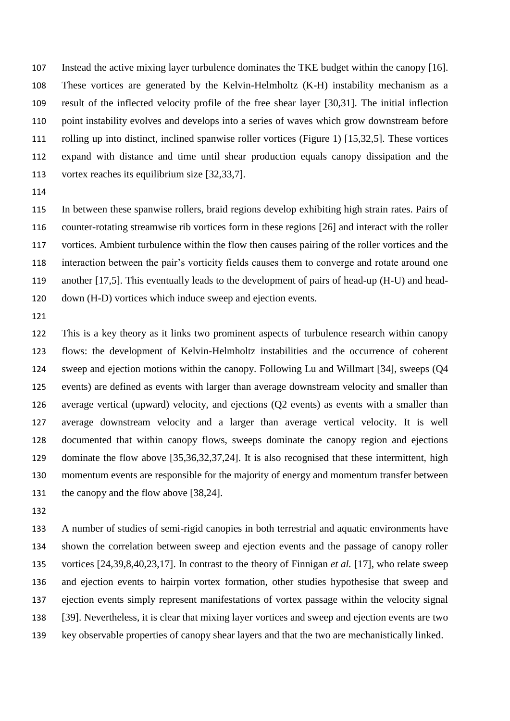Instead the active mixing layer turbulence dominates the TKE budget within the canopy [16]. These vortices are generated by the Kelvin-Helmholtz (K-H) instability mechanism as a result of the inflected velocity profile of the free shear layer [30,31]. The initial inflection point instability evolves and develops into a series of waves which grow downstream before rolling up into distinct, inclined spanwise roller vortices (Figure 1) [15,32,5]. These vortices expand with distance and time until shear production equals canopy dissipation and the vortex reaches its equilibrium size [32,33,7].

 In between these spanwise rollers, braid regions develop exhibiting high strain rates. Pairs of counter-rotating streamwise rib vortices form in these regions [26] and interact with the roller vortices. Ambient turbulence within the flow then causes pairing of the roller vortices and the interaction between the pair's vorticity fields causes them to converge and rotate around one another [17,5]. This eventually leads to the development of pairs of head-up (H-U) and head-down (H-D) vortices which induce sweep and ejection events.

 This is a key theory as it links two prominent aspects of turbulence research within canopy flows: the development of Kelvin-Helmholtz instabilities and the occurrence of coherent sweep and ejection motions within the canopy. Following Lu and Willmart [34], sweeps (Q4 events) are defined as events with larger than average downstream velocity and smaller than average vertical (upward) velocity, and ejections (Q2 events) as events with a smaller than average downstream velocity and a larger than average vertical velocity. It is well documented that within canopy flows, sweeps dominate the canopy region and ejections dominate the flow above [35,36,32,37,24]. It is also recognised that these intermittent, high momentum events are responsible for the majority of energy and momentum transfer between the canopy and the flow above [38,24].

 A number of studies of semi-rigid canopies in both terrestrial and aquatic environments have shown the correlation between sweep and ejection events and the passage of canopy roller vortices [24,39,8,40,23,17]. In contrast to the theory of Finnigan *et al.* [17], who relate sweep and ejection events to hairpin vortex formation, other studies hypothesise that sweep and ejection events simply represent manifestations of vortex passage within the velocity signal [39]. Nevertheless, it is clear that mixing layer vortices and sweep and ejection events are two key observable properties of canopy shear layers and that the two are mechanistically linked.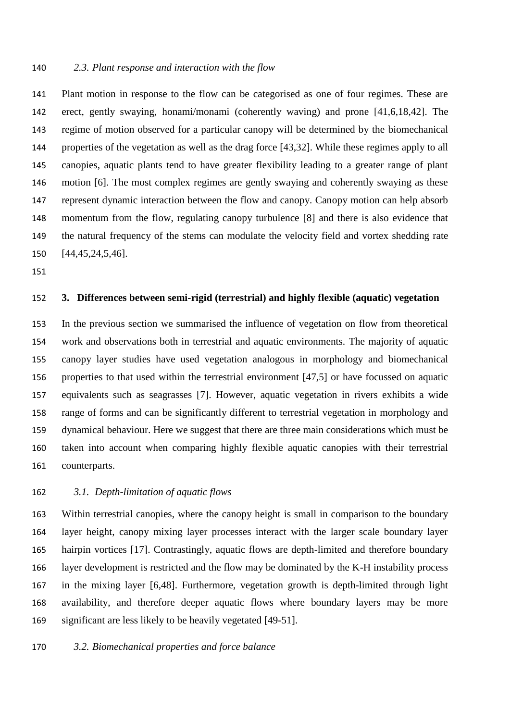### *2.3. Plant response and interaction with the flow*

 Plant motion in response to the flow can be categorised as one of four regimes. These are erect, gently swaying, honami/monami (coherently waving) and prone [41,6,18,42]. The regime of motion observed for a particular canopy will be determined by the biomechanical properties of the vegetation as well as the drag force [43,32]. While these regimes apply to all canopies, aquatic plants tend to have greater flexibility leading to a greater range of plant motion [6]. The most complex regimes are gently swaying and coherently swaying as these represent dynamic interaction between the flow and canopy. Canopy motion can help absorb momentum from the flow, regulating canopy turbulence [8] and there is also evidence that the natural frequency of the stems can modulate the velocity field and vortex shedding rate [44,45,24,5,46].

## **3. Differences between semi-rigid (terrestrial) and highly flexible (aquatic) vegetation**

 In the previous section we summarised the influence of vegetation on flow from theoretical work and observations both in terrestrial and aquatic environments. The majority of aquatic canopy layer studies have used vegetation analogous in morphology and biomechanical properties to that used within the terrestrial environment [47,5] or have focussed on aquatic equivalents such as seagrasses [7]. However, aquatic vegetation in rivers exhibits a wide range of forms and can be significantly different to terrestrial vegetation in morphology and dynamical behaviour. Here we suggest that there are three main considerations which must be taken into account when comparing highly flexible aquatic canopies with their terrestrial counterparts.

### *3.1. Depth-limitation of aquatic flows*

 Within terrestrial canopies, where the canopy height is small in comparison to the boundary layer height, canopy mixing layer processes interact with the larger scale boundary layer hairpin vortices [17]. Contrastingly, aquatic flows are depth-limited and therefore boundary layer development is restricted and the flow may be dominated by the K-H instability process in the mixing layer [6,48]. Furthermore, vegetation growth is depth-limited through light availability, and therefore deeper aquatic flows where boundary layers may be more significant are less likely to be heavily vegetated [49-51].

## *3.2. Biomechanical properties and force balance*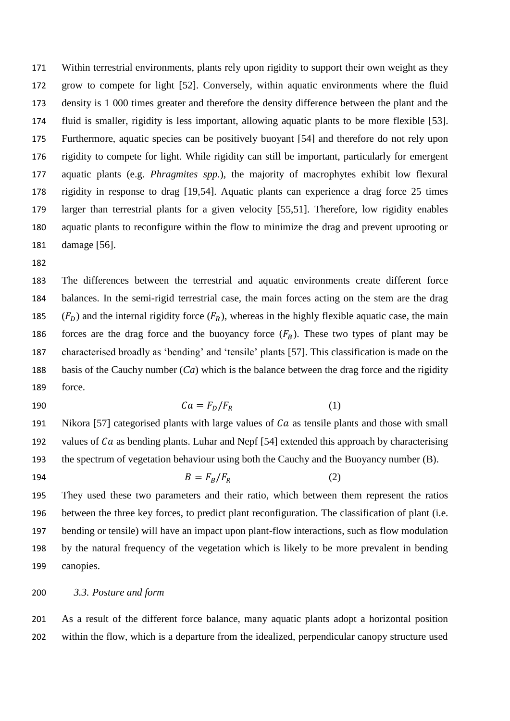Within terrestrial environments, plants rely upon rigidity to support their own weight as they grow to compete for light [52]. Conversely, within aquatic environments where the fluid density is 1 000 times greater and therefore the density difference between the plant and the fluid is smaller, rigidity is less important, allowing aquatic plants to be more flexible [53]. Furthermore, aquatic species can be positively buoyant [54] and therefore do not rely upon rigidity to compete for light. While rigidity can still be important, particularly for emergent aquatic plants (e.g. *Phragmites spp.*), the majority of macrophytes exhibit low flexural rigidity in response to drag [19,54]. Aquatic plants can experience a drag force 25 times larger than terrestrial plants for a given velocity [55,51]. Therefore, low rigidity enables aquatic plants to reconfigure within the flow to minimize the drag and prevent uprooting or damage [56].

 The differences between the terrestrial and aquatic environments create different force balances. In the semi-rigid terrestrial case, the main forces acting on the stem are the drag 185 ( $F<sub>D</sub>$ ) and the internal rigidity force ( $F<sub>R</sub>$ ), whereas in the highly flexible aquatic case, the main 186 forces are the drag force and the buoyancy force  $(F_B)$ . These two types of plant may be characterised broadly as 'bending' and 'tensile' plants [57]. This classification is made on the basis of the Cauchy number (*Ca*) which is the balance between the drag force and the rigidity force.

$$
Ca = F_D/F_R \tag{1}
$$

191 Nikora [57] categorised plants with large values of  $Ca$  as tensile plants and those with small 192 values of  $Ca$  as bending plants. Luhar and Nepf [54] extended this approach by characterising the spectrum of vegetation behaviour using both the Cauchy and the Buoyancy number (B).

194  $B = F_R/F_R$  (2)

 They used these two parameters and their ratio, which between them represent the ratios between the three key forces, to predict plant reconfiguration. The classification of plant (i.e. bending or tensile) will have an impact upon plant-flow interactions, such as flow modulation by the natural frequency of the vegetation which is likely to be more prevalent in bending canopies.

*3.3. Posture and form*

 As a result of the different force balance, many aquatic plants adopt a horizontal position within the flow, which is a departure from the idealized, perpendicular canopy structure used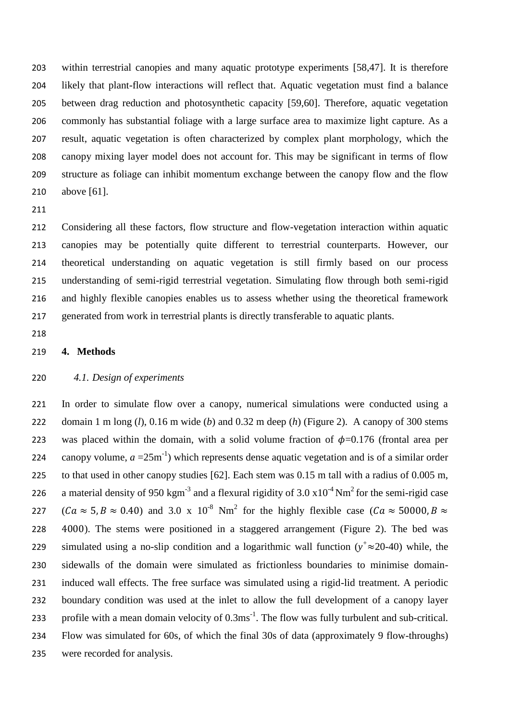within terrestrial canopies and many aquatic prototype experiments [58,47]. It is therefore likely that plant-flow interactions will reflect that. Aquatic vegetation must find a balance between drag reduction and photosynthetic capacity [59,60]. Therefore, aquatic vegetation commonly has substantial foliage with a large surface area to maximize light capture. As a result, aquatic vegetation is often characterized by complex plant morphology, which the canopy mixing layer model does not account for. This may be significant in terms of flow structure as foliage can inhibit momentum exchange between the canopy flow and the flow above [61].

 Considering all these factors, flow structure and flow-vegetation interaction within aquatic canopies may be potentially quite different to terrestrial counterparts. However, our theoretical understanding on aquatic vegetation is still firmly based on our process understanding of semi-rigid terrestrial vegetation. Simulating flow through both semi-rigid and highly flexible canopies enables us to assess whether using the theoretical framework generated from work in terrestrial plants is directly transferable to aquatic plants.

### **4. Methods**

### *4.1. Design of experiments*

 In order to simulate flow over a canopy, numerical simulations were conducted using a domain 1 m long (*l*), 0.16 m wide (*b*) and 0.32 m deep (*h*) (Figure 2). A canopy of 300 stems 223 was placed within the domain, with a solid volume fraction of  $\phi$ =0.176 (frontal area per 224 canopy volume,  $a = 25$ m<sup>-1</sup>) which represents dense aquatic vegetation and is of a similar order to that used in other canopy studies [62]. Each stem was 0.15 m tall with a radius of 0.005 m, 226 a material density of 950 kgm<sup>-3</sup> and a flexural rigidity of 3.0  $x10^{-4}$  Nm<sup>2</sup> for the semi-rigid case 227 (*Ca*  $\approx$  5, *B*  $\approx$  0.40) and 3.0 x 10<sup>-8</sup> Nm<sup>2</sup> for the highly flexible case (*Ca*  $\approx$  50000, *B*  $\approx$  4000). The stems were positioned in a staggered arrangement (Figure 2). The bed was simulated using a no-slip condition and a logarithmic wall function  $(y^+ \approx 20-40)$  while, the sidewalls of the domain were simulated as frictionless boundaries to minimise domain- induced wall effects. The free surface was simulated using a rigid-lid treatment. A periodic boundary condition was used at the inlet to allow the full development of a canopy layer 233 profile with a mean domain velocity of  $0.3 \text{ms}^{-1}$ . The flow was fully turbulent and sub-critical. Flow was simulated for 60s, of which the final 30s of data (approximately 9 flow-throughs) were recorded for analysis.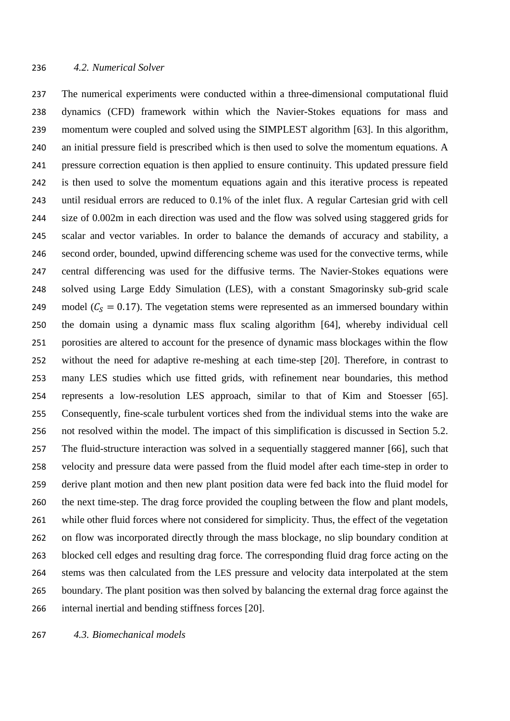The numerical experiments were conducted within a three-dimensional computational fluid dynamics (CFD) framework within which the Navier-Stokes equations for mass and momentum were coupled and solved using the SIMPLEST algorithm [63]. In this algorithm, an initial pressure field is prescribed which is then used to solve the momentum equations. A pressure correction equation is then applied to ensure continuity. This updated pressure field is then used to solve the momentum equations again and this iterative process is repeated until residual errors are reduced to 0.1% of the inlet flux. A regular Cartesian grid with cell size of 0.002m in each direction was used and the flow was solved using staggered grids for scalar and vector variables. In order to balance the demands of accuracy and stability, a second order, bounded, upwind differencing scheme was used for the convective terms, while central differencing was used for the diffusive terms. The Navier-Stokes equations were solved using Large Eddy Simulation (LES), with a constant Smagorinsky sub-grid scale 249 model ( $C_s = 0.17$ ). The vegetation stems were represented as an immersed boundary within the domain using a dynamic mass flux scaling algorithm [64], whereby individual cell porosities are altered to account for the presence of dynamic mass blockages within the flow without the need for adaptive re-meshing at each time-step [20]. Therefore, in contrast to many LES studies which use fitted grids, with refinement near boundaries, this method represents a low-resolution LES approach, similar to that of Kim and Stoesser [65]. Consequently, fine-scale turbulent vortices shed from the individual stems into the wake are not resolved within the model. The impact of this simplification is discussed in Section 5.2. The fluid-structure interaction was solved in a sequentially staggered manner [66], such that velocity and pressure data were passed from the fluid model after each time-step in order to derive plant motion and then new plant position data were fed back into the fluid model for the next time-step. The drag force provided the coupling between the flow and plant models, while other fluid forces where not considered for simplicity. Thus, the effect of the vegetation on flow was incorporated directly through the mass blockage, no slip boundary condition at blocked cell edges and resulting drag force. The corresponding fluid drag force acting on the stems was then calculated from the LES pressure and velocity data interpolated at the stem boundary. The plant position was then solved by balancing the external drag force against the internal inertial and bending stiffness forces [20].

*4.3. Biomechanical models*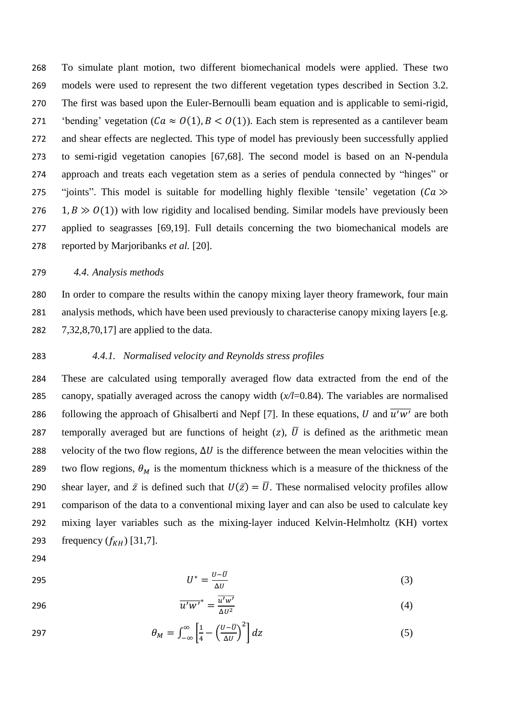To simulate plant motion, two different biomechanical models were applied. These two models were used to represent the two different vegetation types described in Section 3.2. The first was based upon the Euler-Bernoulli beam equation and is applicable to semi-rigid, 271 'bending' vegetation ( $Ca \approx O(1)$ ,  $B < O(1)$ ). Each stem is represented as a cantilever beam and shear effects are neglected. This type of model has previously been successfully applied to semi-rigid vegetation canopies [67,68]. The second model is based on an N-pendula approach and treats each vegetation stem as a series of pendula connected by "hinges" or 275 "joints". This model is suitable for modelling highly flexible 'tensile' vegetation ( $Ca \gg$ 276 1,  $B \gg O(1)$ ) with low rigidity and localised bending. Similar models have previously been applied to seagrasses [69,19]. Full details concerning the two biomechanical models are reported by Marjoribanks *et al.* [20].

279 *4.4. Analysis methods*

280 In order to compare the results within the canopy mixing layer theory framework, four main 281 analysis methods, which have been used previously to characterise canopy mixing layers [e.g. 282 7,32,8,70,17] are applied to the data.

### 283 *4.4.1. Normalised velocity and Reynolds stress profiles*

284 These are calculated using temporally averaged flow data extracted from the end of the 285 canopy, spatially averaged across the canopy width (*x/l*=0.84). The variables are normalised 286 following the approach of Ghisalberti and Nepf [7]. In these equations, U and  $\overline{u'w'}$  are both 287 temporally averaged but are functions of height (z),  $\overline{U}$  is defined as the arithmetic mean 288 velocity of the two flow regions,  $\Delta U$  is the difference between the mean velocities within the 289 two flow regions,  $\theta_M$  is the momentum thickness which is a measure of the thickness of the 290 shear layer, and  $\bar{z}$  is defined such that  $U(\bar{z}) = \bar{U}$ . These normalised velocity profiles allow 291 comparison of the data to a conventional mixing layer and can also be used to calculate key 292 mixing layer variables such as the mixing-layer induced Kelvin-Helmholtz (KH) vortex 293 frequency  $(f_{KH})$  [31,7].

$$
U^* = \frac{U - \overline{U}}{\Delta U} \tag{3}
$$

$$
\overline{u'w'}^* = \frac{\overline{u'w'}}{\Delta U^2} \tag{4}
$$

297 
$$
\theta_M = \int_{-\infty}^{\infty} \left[ \frac{1}{4} - \left( \frac{U - \overline{U}}{\Delta U} \right)^2 \right] dz
$$
 (5)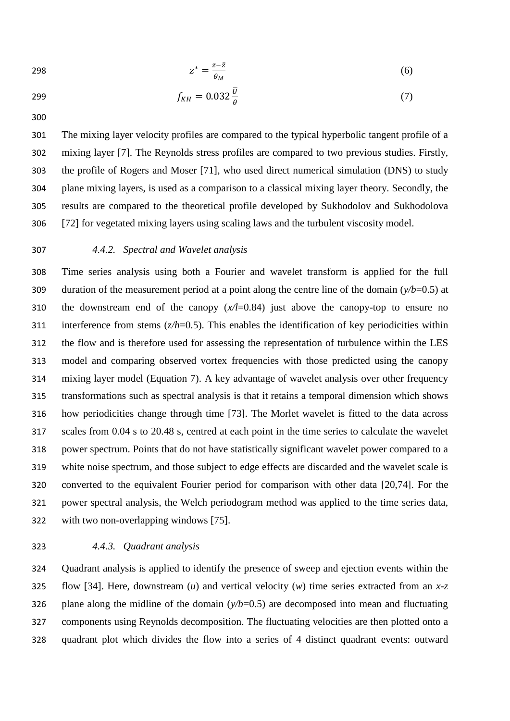$$
z^* = \frac{z - \bar{z}}{\theta_M} \tag{6}
$$

299 
$$
f_{KH} = 0.032 \frac{\bar{v}}{\theta}
$$
 (7)

 The mixing layer velocity profiles are compared to the typical hyperbolic tangent profile of a mixing layer [7]. The Reynolds stress profiles are compared to two previous studies. Firstly, the profile of Rogers and Moser [71], who used direct numerical simulation (DNS) to study plane mixing layers, is used as a comparison to a classical mixing layer theory. Secondly, the results are compared to the theoretical profile developed by Sukhodolov and Sukhodolova [72] for vegetated mixing layers using scaling laws and the turbulent viscosity model.

### *4.4.2. Spectral and Wavelet analysis*

 Time series analysis using both a Fourier and wavelet transform is applied for the full duration of the measurement period at a point along the centre line of the domain (*y/b*=0.5) at the downstream end of the canopy (*x/l*=0.84) just above the canopy-top to ensure no 311 interference from stems  $(z/h=0.5)$ . This enables the identification of key periodicities within the flow and is therefore used for assessing the representation of turbulence within the LES model and comparing observed vortex frequencies with those predicted using the canopy mixing layer model (Equation 7). A key advantage of wavelet analysis over other frequency transformations such as spectral analysis is that it retains a temporal dimension which shows how periodicities change through time [73]. The Morlet wavelet is fitted to the data across scales from 0.04 s to 20.48 s, centred at each point in the time series to calculate the wavelet power spectrum. Points that do not have statistically significant wavelet power compared to a white noise spectrum, and those subject to edge effects are discarded and the wavelet scale is converted to the equivalent Fourier period for comparison with other data [20,74]. For the power spectral analysis, the Welch periodogram method was applied to the time series data, with two non-overlapping windows [75].

### *4.4.3. Quadrant analysis*

 Quadrant analysis is applied to identify the presence of sweep and ejection events within the flow [34]. Here, downstream (*u*) and vertical velocity (*w*) time series extracted from an *x-z* 326 plane along the midline of the domain  $(y/b=0.5)$  are decomposed into mean and fluctuating components using Reynolds decomposition. The fluctuating velocities are then plotted onto a quadrant plot which divides the flow into a series of 4 distinct quadrant events: outward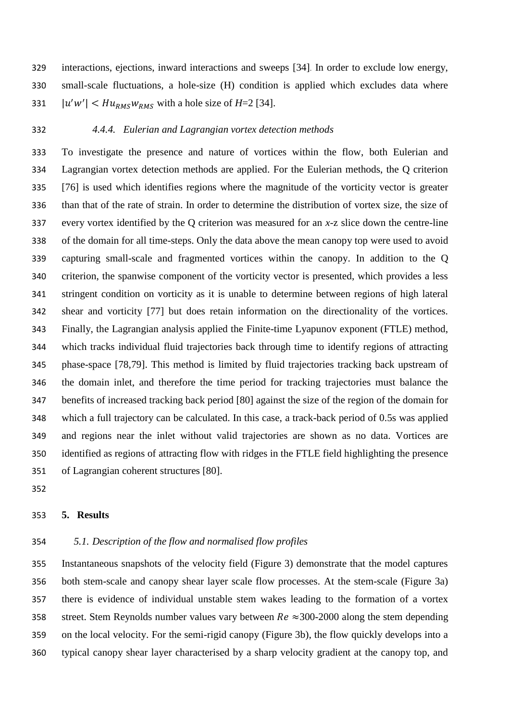interactions, ejections, inward interactions and sweeps [34]. In order to exclude low energy, small-scale fluctuations, a hole-size (H) condition is applied which excludes data where 331  $|u'w'| < H u_{RMS} w_{RMS}$  with a hole size of  $H=2$  [34].

### *4.4.4. Eulerian and Lagrangian vortex detection methods*

 To investigate the presence and nature of vortices within the flow, both Eulerian and Lagrangian vortex detection methods are applied. For the Eulerian methods, the Q criterion [76] is used which identifies regions where the magnitude of the vorticity vector is greater than that of the rate of strain. In order to determine the distribution of vortex size, the size of every vortex identified by the Q criterion was measured for an *x-*z slice down the centre-line of the domain for all time-steps. Only the data above the mean canopy top were used to avoid capturing small-scale and fragmented vortices within the canopy. In addition to the Q criterion, the spanwise component of the vorticity vector is presented, which provides a less stringent condition on vorticity as it is unable to determine between regions of high lateral shear and vorticity [77] but does retain information on the directionality of the vortices. Finally, the Lagrangian analysis applied the Finite-time Lyapunov exponent (FTLE) method, which tracks individual fluid trajectories back through time to identify regions of attracting phase-space [78,79]. This method is limited by fluid trajectories tracking back upstream of the domain inlet, and therefore the time period for tracking trajectories must balance the benefits of increased tracking back period [80] against the size of the region of the domain for which a full trajectory can be calculated. In this case, a track-back period of 0.5s was applied and regions near the inlet without valid trajectories are shown as no data. Vortices are identified as regions of attracting flow with ridges in the FTLE field highlighting the presence of Lagrangian coherent structures [80].

### **5. Results**

### *5.1. Description of the flow and normalised flow profiles*

 Instantaneous snapshots of the velocity field (Figure 3) demonstrate that the model captures both stem-scale and canopy shear layer scale flow processes. At the stem-scale (Figure 3a) there is evidence of individual unstable stem wakes leading to the formation of a vortex 358 street. Stem Reynolds number values vary between  $Re \approx 300$ -2000 along the stem depending on the local velocity. For the semi-rigid canopy (Figure 3b), the flow quickly develops into a typical canopy shear layer characterised by a sharp velocity gradient at the canopy top, and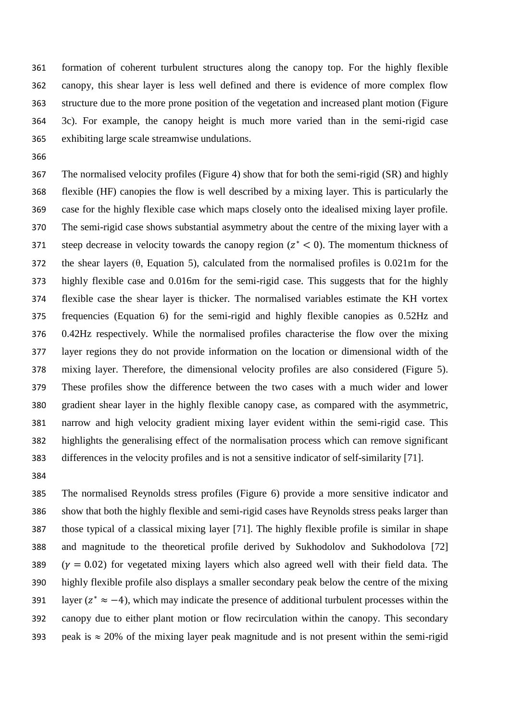formation of coherent turbulent structures along the canopy top. For the highly flexible canopy, this shear layer is less well defined and there is evidence of more complex flow structure due to the more prone position of the vegetation and increased plant motion (Figure 3c). For example, the canopy height is much more varied than in the semi-rigid case exhibiting large scale streamwise undulations.

 The normalised velocity profiles (Figure 4) show that for both the semi-rigid (SR) and highly flexible (HF) canopies the flow is well described by a mixing layer. This is particularly the case for the highly flexible case which maps closely onto the idealised mixing layer profile. The semi-rigid case shows substantial asymmetry about the centre of the mixing layer with a steep decrease in velocity towards the canopy region ( $z^*$  < 0). The momentum thickness of the shear layers (θ, Equation 5), calculated from the normalised profiles is 0.021m for the highly flexible case and 0.016m for the semi-rigid case. This suggests that for the highly flexible case the shear layer is thicker. The normalised variables estimate the KH vortex frequencies (Equation 6) for the semi-rigid and highly flexible canopies as 0.52Hz and 0.42Hz respectively. While the normalised profiles characterise the flow over the mixing layer regions they do not provide information on the location or dimensional width of the mixing layer. Therefore, the dimensional velocity profiles are also considered (Figure 5). These profiles show the difference between the two cases with a much wider and lower gradient shear layer in the highly flexible canopy case, as compared with the asymmetric, narrow and high velocity gradient mixing layer evident within the semi-rigid case. This highlights the generalising effect of the normalisation process which can remove significant differences in the velocity profiles and is not a sensitive indicator of self-similarity [71].

 The normalised Reynolds stress profiles (Figure 6) provide a more sensitive indicator and show that both the highly flexible and semi-rigid cases have Reynolds stress peaks larger than those typical of a classical mixing layer [71]. The highly flexible profile is similar in shape and magnitude to the theoretical profile derived by Sukhodolov and Sukhodolova [72] 389 ( $y = 0.02$ ) for vegetated mixing layers which also agreed well with their field data. The highly flexible profile also displays a smaller secondary peak below the centre of the mixing 391 layer ( $z^* \approx -4$ ), which may indicate the presence of additional turbulent processes within the canopy due to either plant motion or flow recirculation within the canopy. This secondary 393 peak is  $\approx 20\%$  of the mixing layer peak magnitude and is not present within the semi-rigid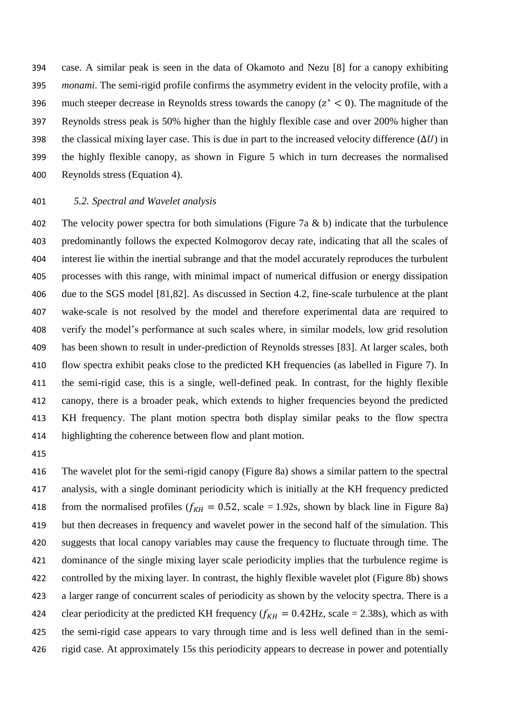case. A similar peak is seen in the data of Okamoto and Nezu [8] for a canopy exhibiting *monami*. The semi-rigid profile confirms the asymmetry evident in the velocity profile, with a 396 much steeper decrease in Reynolds stress towards the canopy  $(z^* < 0)$ . The magnitude of the Reynolds stress peak is 50% higher than the highly flexible case and over 200% higher than 398 the classical mixing layer case. This is due in part to the increased velocity difference  $(\Delta U)$  in the highly flexible canopy, as shown in Figure 5 which in turn decreases the normalised Reynolds stress (Equation 4).

### *5.2. Spectral and Wavelet analysis*

 The velocity power spectra for both simulations (Figure 7a & b) indicate that the turbulence predominantly follows the expected Kolmogorov decay rate, indicating that all the scales of interest lie within the inertial subrange and that the model accurately reproduces the turbulent processes with this range, with minimal impact of numerical diffusion or energy dissipation due to the SGS model [81,82]. As discussed in Section 4.2, fine-scale turbulence at the plant wake-scale is not resolved by the model and therefore experimental data are required to verify the model's performance at such scales where, in similar models, low grid resolution has been shown to result in under-prediction of Reynolds stresses [83]. At larger scales, both flow spectra exhibit peaks close to the predicted KH frequencies (as labelled in Figure 7). In the semi-rigid case, this is a single, well-defined peak. In contrast, for the highly flexible canopy, there is a broader peak, which extends to higher frequencies beyond the predicted KH frequency. The plant motion spectra both display similar peaks to the flow spectra highlighting the coherence between flow and plant motion.

 The wavelet plot for the semi-rigid canopy (Figure 8a) shows a similar pattern to the spectral analysis, with a single dominant periodicity which is initially at the KH frequency predicted 418 from the normalised profiles ( $f_{KH} = 0.52$ , scale = 1.92s, shown by black line in Figure 8a) but then decreases in frequency and wavelet power in the second half of the simulation. This suggests that local canopy variables may cause the frequency to fluctuate through time. The dominance of the single mixing layer scale periodicity implies that the turbulence regime is controlled by the mixing layer. In contrast, the highly flexible wavelet plot (Figure 8b) shows a larger range of concurrent scales of periodicity as shown by the velocity spectra. There is a 424 clear periodicity at the predicted KH frequency ( $f_{KH} = 0.42$ Hz, scale = 2.38s), which as with the semi-rigid case appears to vary through time and is less well defined than in the semi-rigid case. At approximately 15s this periodicity appears to decrease in power and potentially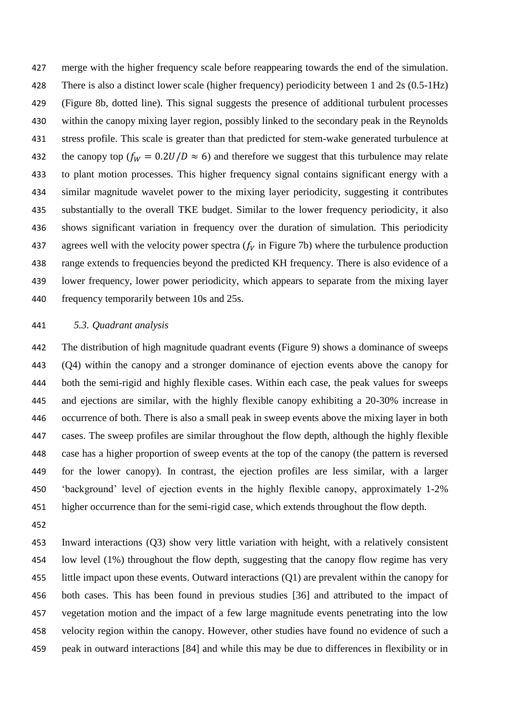merge with the higher frequency scale before reappearing towards the end of the simulation. There is also a distinct lower scale (higher frequency) periodicity between 1 and 2s (0.5-1Hz) (Figure 8b, dotted line). This signal suggests the presence of additional turbulent processes within the canopy mixing layer region, possibly linked to the secondary peak in the Reynolds stress profile. This scale is greater than that predicted for stem-wake generated turbulence at 432 the canopy top ( $f_W = 0.2U/D \approx 6$ ) and therefore we suggest that this turbulence may relate to plant motion processes. This higher frequency signal contains significant energy with a similar magnitude wavelet power to the mixing layer periodicity, suggesting it contributes substantially to the overall TKE budget. Similar to the lower frequency periodicity, it also shows significant variation in frequency over the duration of simulation. This periodicity 437 agrees well with the velocity power spectra  $(f_V$  in Figure 7b) where the turbulence production range extends to frequencies beyond the predicted KH frequency. There is also evidence of a lower frequency, lower power periodicity, which appears to separate from the mixing layer frequency temporarily between 10s and 25s.

### *5.3. Quadrant analysis*

 The distribution of high magnitude quadrant events (Figure 9) shows a dominance of sweeps (Q4) within the canopy and a stronger dominance of ejection events above the canopy for both the semi-rigid and highly flexible cases. Within each case, the peak values for sweeps and ejections are similar, with the highly flexible canopy exhibiting a 20-30% increase in occurrence of both. There is also a small peak in sweep events above the mixing layer in both cases. The sweep profiles are similar throughout the flow depth, although the highly flexible case has a higher proportion of sweep events at the top of the canopy (the pattern is reversed for the lower canopy). In contrast, the ejection profiles are less similar, with a larger 'background' level of ejection events in the highly flexible canopy, approximately 1-2% higher occurrence than for the semi-rigid case, which extends throughout the flow depth. 

 Inward interactions (Q3) show very little variation with height, with a relatively consistent low level (1%) throughout the flow depth, suggesting that the canopy flow regime has very little impact upon these events. Outward interactions (Q1) are prevalent within the canopy for both cases. This has been found in previous studies [36] and attributed to the impact of vegetation motion and the impact of a few large magnitude events penetrating into the low velocity region within the canopy. However, other studies have found no evidence of such a peak in outward interactions [84] and while this may be due to differences in flexibility or in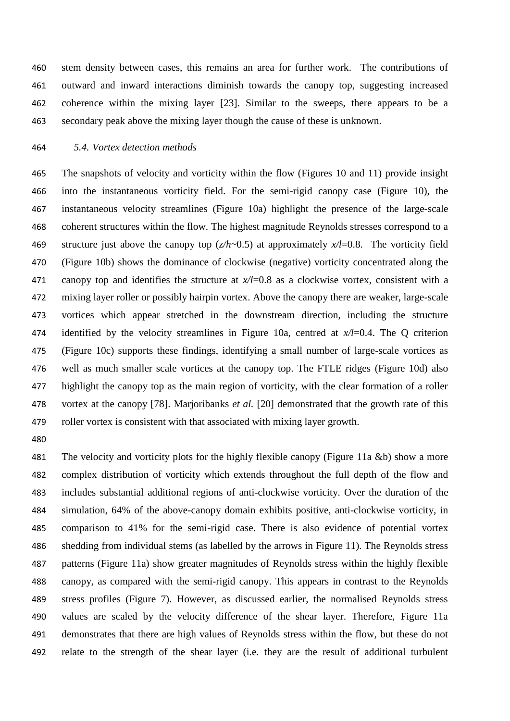stem density between cases, this remains an area for further work. The contributions of outward and inward interactions diminish towards the canopy top, suggesting increased coherence within the mixing layer [23]. Similar to the sweeps, there appears to be a secondary peak above the mixing layer though the cause of these is unknown.

### *5.4. Vortex detection methods*

 The snapshots of velocity and vorticity within the flow (Figures 10 and 11) provide insight into the instantaneous vorticity field. For the semi-rigid canopy case (Figure 10), the instantaneous velocity streamlines (Figure 10a) highlight the presence of the large-scale coherent structures within the flow. The highest magnitude Reynolds stresses correspond to a structure just above the canopy top (*z/h~*0.5) at approximately *x/l*=0.8. The vorticity field (Figure 10b) shows the dominance of clockwise (negative) vorticity concentrated along the canopy top and identifies the structure at *x/l*=0.8 as a clockwise vortex, consistent with a mixing layer roller or possibly hairpin vortex. Above the canopy there are weaker, large-scale vortices which appear stretched in the downstream direction, including the structure identified by the velocity streamlines in Figure 10a, centred at *x/l*=0.4. The Q criterion (Figure 10c) supports these findings, identifying a small number of large-scale vortices as well as much smaller scale vortices at the canopy top. The FTLE ridges (Figure 10d) also highlight the canopy top as the main region of vorticity, with the clear formation of a roller vortex at the canopy [78]. Marjoribanks *et al.* [20] demonstrated that the growth rate of this roller vortex is consistent with that associated with mixing layer growth.

 The velocity and vorticity plots for the highly flexible canopy (Figure 11a &b) show a more complex distribution of vorticity which extends throughout the full depth of the flow and includes substantial additional regions of anti-clockwise vorticity. Over the duration of the simulation, 64% of the above-canopy domain exhibits positive, anti-clockwise vorticity, in comparison to 41% for the semi-rigid case. There is also evidence of potential vortex shedding from individual stems (as labelled by the arrows in Figure 11). The Reynolds stress patterns (Figure 11a) show greater magnitudes of Reynolds stress within the highly flexible canopy, as compared with the semi-rigid canopy. This appears in contrast to the Reynolds stress profiles (Figure 7). However, as discussed earlier, the normalised Reynolds stress values are scaled by the velocity difference of the shear layer. Therefore, Figure 11a demonstrates that there are high values of Reynolds stress within the flow, but these do not relate to the strength of the shear layer (i.e. they are the result of additional turbulent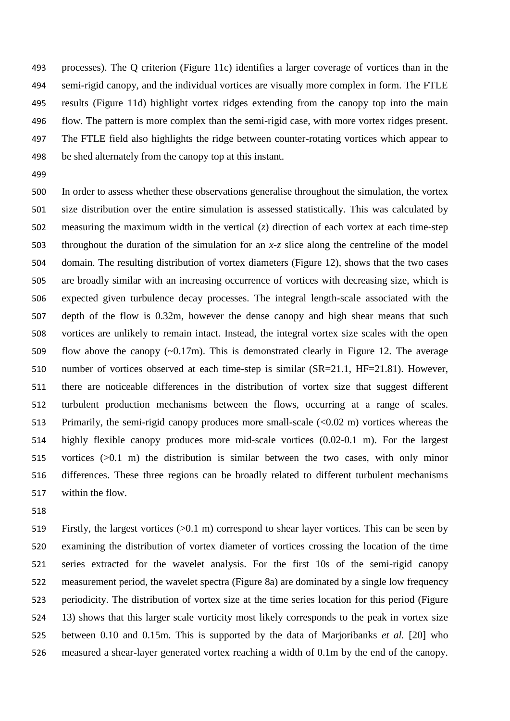processes). The Q criterion (Figure 11c) identifies a larger coverage of vortices than in the semi-rigid canopy, and the individual vortices are visually more complex in form. The FTLE results (Figure 11d) highlight vortex ridges extending from the canopy top into the main flow. The pattern is more complex than the semi-rigid case, with more vortex ridges present. The FTLE field also highlights the ridge between counter-rotating vortices which appear to be shed alternately from the canopy top at this instant.

 In order to assess whether these observations generalise throughout the simulation, the vortex size distribution over the entire simulation is assessed statistically. This was calculated by measuring the maximum width in the vertical (*z*) direction of each vortex at each time-step throughout the duration of the simulation for an *x*-*z* slice along the centreline of the model domain. The resulting distribution of vortex diameters (Figure 12), shows that the two cases are broadly similar with an increasing occurrence of vortices with decreasing size, which is expected given turbulence decay processes. The integral length-scale associated with the depth of the flow is 0.32m, however the dense canopy and high shear means that such vortices are unlikely to remain intact. Instead, the integral vortex size scales with the open flow above the canopy (~0.17m). This is demonstrated clearly in Figure 12. The average number of vortices observed at each time-step is similar (SR=21.1, HF=21.81). However, there are noticeable differences in the distribution of vortex size that suggest different turbulent production mechanisms between the flows, occurring at a range of scales. Primarily, the semi-rigid canopy produces more small-scale (<0.02 m) vortices whereas the highly flexible canopy produces more mid-scale vortices (0.02-0.1 m). For the largest vortices (>0.1 m) the distribution is similar between the two cases, with only minor differences. These three regions can be broadly related to different turbulent mechanisms within the flow.

 Firstly, the largest vortices (>0.1 m) correspond to shear layer vortices. This can be seen by examining the distribution of vortex diameter of vortices crossing the location of the time series extracted for the wavelet analysis. For the first 10s of the semi-rigid canopy measurement period, the wavelet spectra (Figure 8a) are dominated by a single low frequency periodicity. The distribution of vortex size at the time series location for this period (Figure 13) shows that this larger scale vorticity most likely corresponds to the peak in vortex size between 0.10 and 0.15m. This is supported by the data of Marjoribanks *et al.* [20] who measured a shear-layer generated vortex reaching a width of 0.1m by the end of the canopy.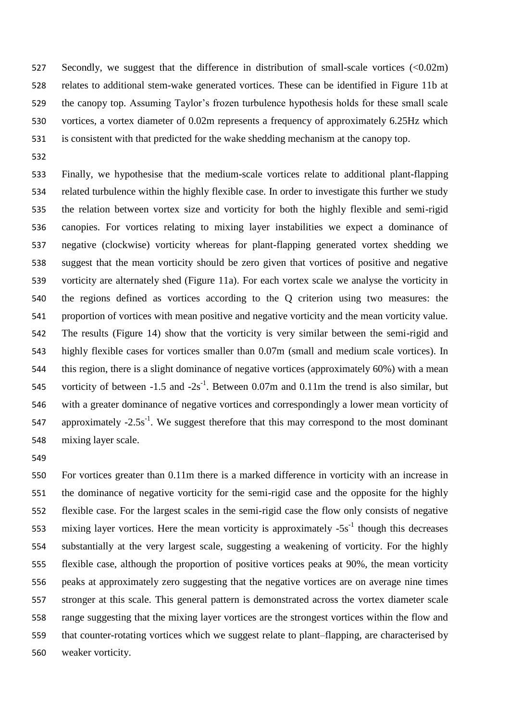Secondly, we suggest that the difference in distribution of small-scale vortices (<0.02m) relates to additional stem-wake generated vortices. These can be identified in Figure 11b at the canopy top. Assuming Taylor's frozen turbulence hypothesis holds for these small scale vortices, a vortex diameter of 0.02m represents a frequency of approximately 6.25Hz which is consistent with that predicted for the wake shedding mechanism at the canopy top.

 Finally, we hypothesise that the medium-scale vortices relate to additional plant-flapping related turbulence within the highly flexible case. In order to investigate this further we study the relation between vortex size and vorticity for both the highly flexible and semi-rigid canopies. For vortices relating to mixing layer instabilities we expect a dominance of negative (clockwise) vorticity whereas for plant-flapping generated vortex shedding we suggest that the mean vorticity should be zero given that vortices of positive and negative vorticity are alternately shed (Figure 11a). For each vortex scale we analyse the vorticity in the regions defined as vortices according to the Q criterion using two measures: the proportion of vortices with mean positive and negative vorticity and the mean vorticity value. The results (Figure 14) show that the vorticity is very similar between the semi-rigid and highly flexible cases for vortices smaller than 0.07m (small and medium scale vortices). In this region, there is a slight dominance of negative vortices (approximately 60%) with a mean 545 vorticity of between  $-1.5$  and  $-2s^{-1}$ . Between 0.07m and 0.11m the trend is also similar, but with a greater dominance of negative vortices and correspondingly a lower mean vorticity of 547 approximately  $-2.5s^{-1}$ . We suggest therefore that this may correspond to the most dominant mixing layer scale.

 For vortices greater than 0.11m there is a marked difference in vorticity with an increase in the dominance of negative vorticity for the semi-rigid case and the opposite for the highly flexible case. For the largest scales in the semi-rigid case the flow only consists of negative 553 mixing layer vortices. Here the mean vorticity is approximately  $-5s^{-1}$  though this decreases substantially at the very largest scale, suggesting a weakening of vorticity. For the highly flexible case, although the proportion of positive vortices peaks at 90%, the mean vorticity peaks at approximately zero suggesting that the negative vortices are on average nine times stronger at this scale. This general pattern is demonstrated across the vortex diameter scale range suggesting that the mixing layer vortices are the strongest vortices within the flow and that counter-rotating vortices which we suggest relate to plant–flapping, are characterised by weaker vorticity.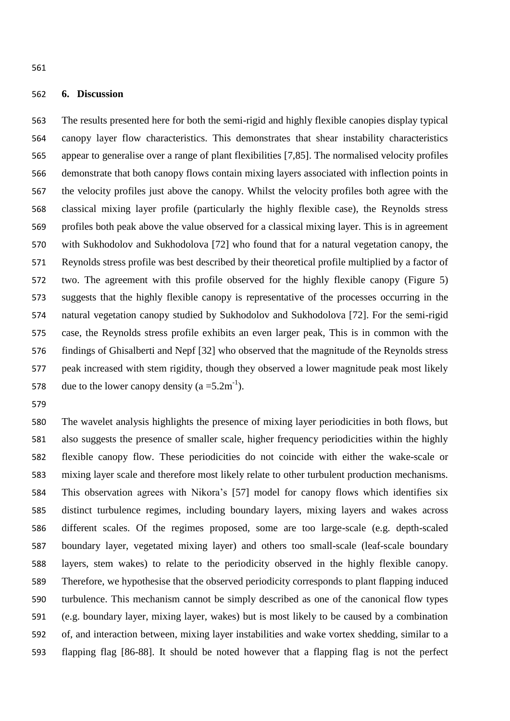**6. Discussion**

 The results presented here for both the semi-rigid and highly flexible canopies display typical canopy layer flow characteristics. This demonstrates that shear instability characteristics appear to generalise over a range of plant flexibilities [7,85]. The normalised velocity profiles demonstrate that both canopy flows contain mixing layers associated with inflection points in the velocity profiles just above the canopy. Whilst the velocity profiles both agree with the classical mixing layer profile (particularly the highly flexible case), the Reynolds stress profiles both peak above the value observed for a classical mixing layer. This is in agreement with Sukhodolov and Sukhodolova [72] who found that for a natural vegetation canopy, the Reynolds stress profile was best described by their theoretical profile multiplied by a factor of two. The agreement with this profile observed for the highly flexible canopy (Figure 5) suggests that the highly flexible canopy is representative of the processes occurring in the natural vegetation canopy studied by Sukhodolov and Sukhodolova [72]. For the semi-rigid case, the Reynolds stress profile exhibits an even larger peak, This is in common with the findings of Ghisalberti and Nepf [32] who observed that the magnitude of the Reynolds stress peak increased with stem rigidity, though they observed a lower magnitude peak most likely 578 due to the lower canopy density  $(a = 5.2 \text{m}^{\text{-}1})$ .

 The wavelet analysis highlights the presence of mixing layer periodicities in both flows, but also suggests the presence of smaller scale, higher frequency periodicities within the highly flexible canopy flow. These periodicities do not coincide with either the wake-scale or mixing layer scale and therefore most likely relate to other turbulent production mechanisms. This observation agrees with Nikora's [57] model for canopy flows which identifies six distinct turbulence regimes, including boundary layers, mixing layers and wakes across different scales. Of the regimes proposed, some are too large-scale (e.g. depth-scaled boundary layer, vegetated mixing layer) and others too small-scale (leaf-scale boundary layers, stem wakes) to relate to the periodicity observed in the highly flexible canopy. Therefore, we hypothesise that the observed periodicity corresponds to plant flapping induced turbulence. This mechanism cannot be simply described as one of the canonical flow types (e.g. boundary layer, mixing layer, wakes) but is most likely to be caused by a combination of, and interaction between, mixing layer instabilities and wake vortex shedding, similar to a flapping flag [86-88]. It should be noted however that a flapping flag is not the perfect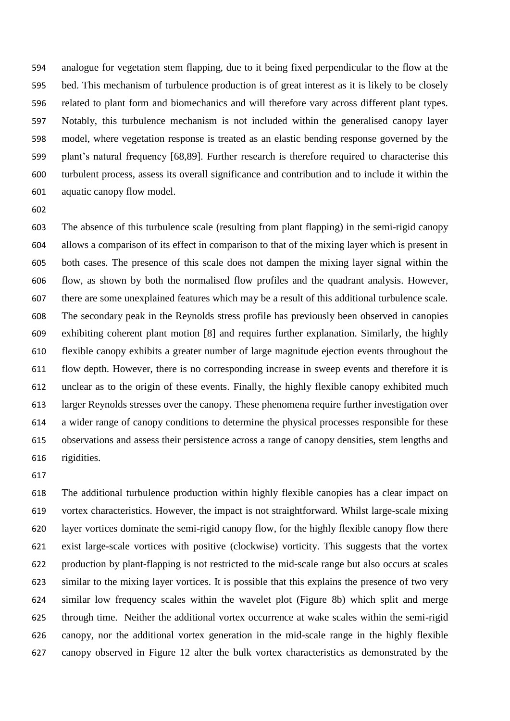analogue for vegetation stem flapping, due to it being fixed perpendicular to the flow at the bed. This mechanism of turbulence production is of great interest as it is likely to be closely related to plant form and biomechanics and will therefore vary across different plant types. Notably, this turbulence mechanism is not included within the generalised canopy layer model, where vegetation response is treated as an elastic bending response governed by the plant's natural frequency [68,89]. Further research is therefore required to characterise this turbulent process, assess its overall significance and contribution and to include it within the aquatic canopy flow model.

 The absence of this turbulence scale (resulting from plant flapping) in the semi-rigid canopy allows a comparison of its effect in comparison to that of the mixing layer which is present in both cases. The presence of this scale does not dampen the mixing layer signal within the flow, as shown by both the normalised flow profiles and the quadrant analysis. However, there are some unexplained features which may be a result of this additional turbulence scale. The secondary peak in the Reynolds stress profile has previously been observed in canopies exhibiting coherent plant motion [8] and requires further explanation. Similarly, the highly flexible canopy exhibits a greater number of large magnitude ejection events throughout the flow depth. However, there is no corresponding increase in sweep events and therefore it is unclear as to the origin of these events. Finally, the highly flexible canopy exhibited much larger Reynolds stresses over the canopy. These phenomena require further investigation over a wider range of canopy conditions to determine the physical processes responsible for these observations and assess their persistence across a range of canopy densities, stem lengths and rigidities.

 The additional turbulence production within highly flexible canopies has a clear impact on vortex characteristics. However, the impact is not straightforward. Whilst large-scale mixing layer vortices dominate the semi-rigid canopy flow, for the highly flexible canopy flow there exist large-scale vortices with positive (clockwise) vorticity. This suggests that the vortex production by plant-flapping is not restricted to the mid-scale range but also occurs at scales similar to the mixing layer vortices. It is possible that this explains the presence of two very similar low frequency scales within the wavelet plot (Figure 8b) which split and merge through time. Neither the additional vortex occurrence at wake scales within the semi-rigid canopy, nor the additional vortex generation in the mid-scale range in the highly flexible canopy observed in Figure 12 alter the bulk vortex characteristics as demonstrated by the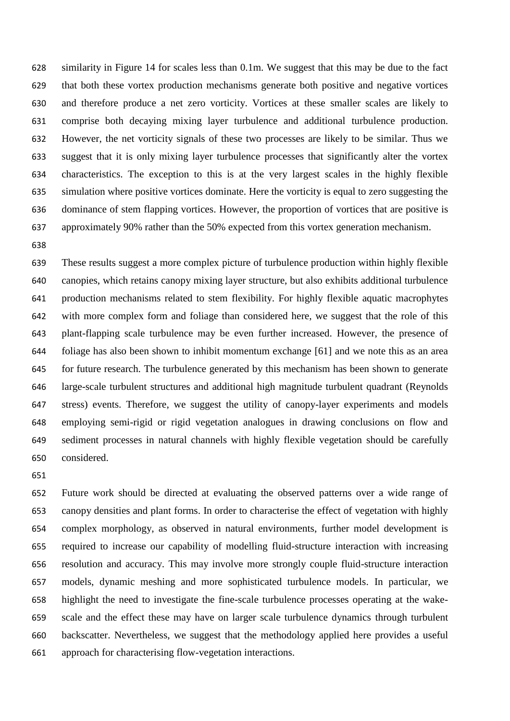similarity in Figure 14 for scales less than 0.1m. We suggest that this may be due to the fact that both these vortex production mechanisms generate both positive and negative vortices and therefore produce a net zero vorticity. Vortices at these smaller scales are likely to comprise both decaying mixing layer turbulence and additional turbulence production. However, the net vorticity signals of these two processes are likely to be similar. Thus we suggest that it is only mixing layer turbulence processes that significantly alter the vortex characteristics. The exception to this is at the very largest scales in the highly flexible simulation where positive vortices dominate. Here the vorticity is equal to zero suggesting the dominance of stem flapping vortices. However, the proportion of vortices that are positive is approximately 90% rather than the 50% expected from this vortex generation mechanism.

 These results suggest a more complex picture of turbulence production within highly flexible canopies, which retains canopy mixing layer structure, but also exhibits additional turbulence production mechanisms related to stem flexibility. For highly flexible aquatic macrophytes with more complex form and foliage than considered here, we suggest that the role of this plant-flapping scale turbulence may be even further increased. However, the presence of foliage has also been shown to inhibit momentum exchange [61] and we note this as an area for future research. The turbulence generated by this mechanism has been shown to generate large-scale turbulent structures and additional high magnitude turbulent quadrant (Reynolds stress) events. Therefore, we suggest the utility of canopy-layer experiments and models employing semi-rigid or rigid vegetation analogues in drawing conclusions on flow and sediment processes in natural channels with highly flexible vegetation should be carefully considered.

 Future work should be directed at evaluating the observed patterns over a wide range of canopy densities and plant forms. In order to characterise the effect of vegetation with highly complex morphology, as observed in natural environments, further model development is required to increase our capability of modelling fluid-structure interaction with increasing resolution and accuracy. This may involve more strongly couple fluid-structure interaction models, dynamic meshing and more sophisticated turbulence models. In particular, we highlight the need to investigate the fine-scale turbulence processes operating at the wake- scale and the effect these may have on larger scale turbulence dynamics through turbulent backscatter. Nevertheless, we suggest that the methodology applied here provides a useful approach for characterising flow-vegetation interactions.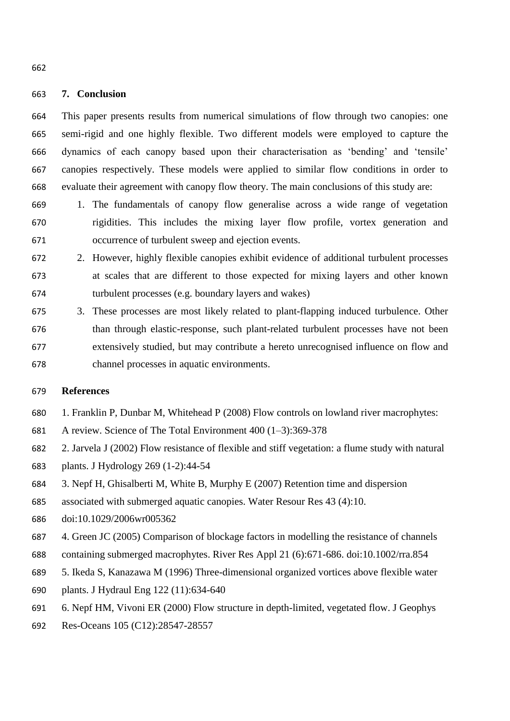### **7. Conclusion**

 This paper presents results from numerical simulations of flow through two canopies: one semi-rigid and one highly flexible. Two different models were employed to capture the dynamics of each canopy based upon their characterisation as 'bending' and 'tensile' canopies respectively. These models were applied to similar flow conditions in order to evaluate their agreement with canopy flow theory. The main conclusions of this study are:

- 1. The fundamentals of canopy flow generalise across a wide range of vegetation rigidities. This includes the mixing layer flow profile, vortex generation and occurrence of turbulent sweep and ejection events.
- 2. However, highly flexible canopies exhibit evidence of additional turbulent processes at scales that are different to those expected for mixing layers and other known turbulent processes (e.g. boundary layers and wakes)
- 3. These processes are most likely related to plant-flapping induced turbulence. Other than through elastic-response, such plant-related turbulent processes have not been extensively studied, but may contribute a hereto unrecognised influence on flow and channel processes in aquatic environments.

### **References**

- 1. Franklin P, Dunbar M, Whitehead P (2008) Flow controls on lowland river macrophytes:
- A review. Science of The Total Environment 400 (1–3):369-378
- 2. Jarvela J (2002) Flow resistance of flexible and stiff vegetation: a flume study with natural
- plants. J Hydrology 269 (1-2):44-54
- 3. Nepf H, Ghisalberti M, White B, Murphy E (2007) Retention time and dispersion
- associated with submerged aquatic canopies. Water Resour Res 43 (4):10.
- doi:10.1029/2006wr005362
- 4. Green JC (2005) Comparison of blockage factors in modelling the resistance of channels
- containing submerged macrophytes. River Res Appl 21 (6):671-686. doi:10.1002/rra.854
- 5. Ikeda S, Kanazawa M (1996) Three-dimensional organized vortices above flexible water
- plants. J Hydraul Eng 122 (11):634-640
- 6. Nepf HM, Vivoni ER (2000) Flow structure in depth-limited, vegetated flow. J Geophys
- Res-Oceans 105 (C12):28547-28557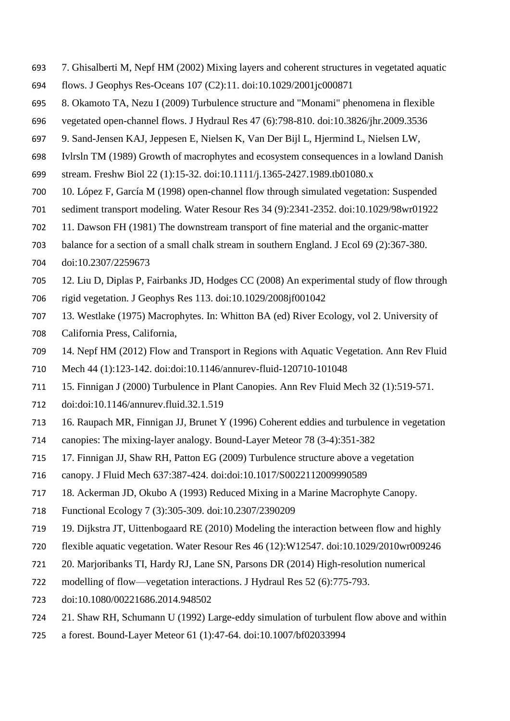- 7. Ghisalberti M, Nepf HM (2002) Mixing layers and coherent structures in vegetated aquatic
- flows. J Geophys Res-Oceans 107 (C2):11. doi:10.1029/2001jc000871
- 8. Okamoto TA, Nezu I (2009) Turbulence structure and "Monami" phenomena in flexible
- vegetated open-channel flows. J Hydraul Res 47 (6):798-810. doi:10.3826/jhr.2009.3536
- 9. Sand-Jensen KAJ, Jeppesen E, Nielsen K, Van Der Bijl L, Hjermind L, Nielsen LW,
- Ivlrsln TM (1989) Growth of macrophytes and ecosystem consequences in a lowland Danish
- stream. Freshw Biol 22 (1):15-32. doi:10.1111/j.1365-2427.1989.tb01080.x
- 10. López F, García M (1998) open-channel flow through simulated vegetation: Suspended
- sediment transport modeling. Water Resour Res 34 (9):2341-2352. doi:10.1029/98wr01922
- 11. Dawson FH (1981) The downstream transport of fine material and the organic-matter
- balance for a section of a small chalk stream in southern England. J Ecol 69 (2):367-380.
- doi:10.2307/2259673
- 12. Liu D, Diplas P, Fairbanks JD, Hodges CC (2008) An experimental study of flow through
- rigid vegetation. J Geophys Res 113. doi:10.1029/2008jf001042
- 13. Westlake (1975) Macrophytes. In: Whitton BA (ed) River Ecology, vol 2. University of California Press, California,
- 14. Nepf HM (2012) Flow and Transport in Regions with Aquatic Vegetation. Ann Rev Fluid
- Mech 44 (1):123-142. doi:doi:10.1146/annurev-fluid-120710-101048
- 15. Finnigan J (2000) Turbulence in Plant Canopies. Ann Rev Fluid Mech 32 (1):519-571.
- doi:doi:10.1146/annurev.fluid.32.1.519
- 16. Raupach MR, Finnigan JJ, Brunet Y (1996) Coherent eddies and turbulence in vegetation
- canopies: The mixing-layer analogy. Bound-Layer Meteor 78 (3-4):351-382
- 17. Finnigan JJ, Shaw RH, Patton EG (2009) Turbulence structure above a vegetation
- canopy. J Fluid Mech 637:387-424. doi:doi:10.1017/S0022112009990589
- 18. Ackerman JD, Okubo A (1993) Reduced Mixing in a Marine Macrophyte Canopy.
- Functional Ecology 7 (3):305-309. doi:10.2307/2390209
- 19. Dijkstra JT, Uittenbogaard RE (2010) Modeling the interaction between flow and highly
- flexible aquatic vegetation. Water Resour Res 46 (12):W12547. doi:10.1029/2010wr009246
- 20. Marjoribanks TI, Hardy RJ, Lane SN, Parsons DR (2014) High-resolution numerical
- modelling of flow—vegetation interactions. J Hydraul Res 52 (6):775-793.
- doi:10.1080/00221686.2014.948502
- 21. Shaw RH, Schumann U (1992) Large-eddy simulation of turbulent flow above and within
- a forest. Bound-Layer Meteor 61 (1):47-64. doi:10.1007/bf02033994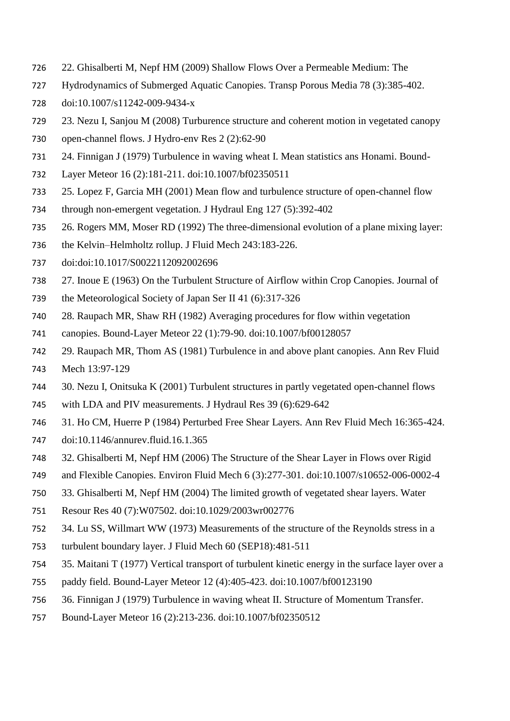- 22. Ghisalberti M, Nepf HM (2009) Shallow Flows Over a Permeable Medium: The
- Hydrodynamics of Submerged Aquatic Canopies. Transp Porous Media 78 (3):385-402.
- doi:10.1007/s11242-009-9434-x
- 23. Nezu I, Sanjou M (2008) Turburence structure and coherent motion in vegetated canopy
- open-channel flows. J Hydro-env Res 2 (2):62-90
- 24. Finnigan J (1979) Turbulence in waving wheat I. Mean statistics ans Honami. Bound-
- Layer Meteor 16 (2):181-211. doi:10.1007/bf02350511
- 25. Lopez F, Garcia MH (2001) Mean flow and turbulence structure of open-channel flow
- through non-emergent vegetation. J Hydraul Eng 127 (5):392-402
- 26. Rogers MM, Moser RD (1992) The three-dimensional evolution of a plane mixing layer:
- the Kelvin–Helmholtz rollup. J Fluid Mech 243:183-226.
- doi:doi:10.1017/S0022112092002696
- 27. Inoue E (1963) On the Turbulent Structure of Airflow within Crop Canopies. Journal of
- the Meteorological Society of Japan Ser II 41 (6):317-326
- 28. Raupach MR, Shaw RH (1982) Averaging procedures for flow within vegetation
- canopies. Bound-Layer Meteor 22 (1):79-90. doi:10.1007/bf00128057
- 29. Raupach MR, Thom AS (1981) Turbulence in and above plant canopies. Ann Rev Fluid Mech 13:97-129
- 30. Nezu I, Onitsuka K (2001) Turbulent structures in partly vegetated open-channel flows
- with LDA and PIV measurements. J Hydraul Res 39 (6):629-642
- 31. Ho CM, Huerre P (1984) Perturbed Free Shear Layers. Ann Rev Fluid Mech 16:365-424.
- doi:10.1146/annurev.fluid.16.1.365
- 32. Ghisalberti M, Nepf HM (2006) The Structure of the Shear Layer in Flows over Rigid
- and Flexible Canopies. Environ Fluid Mech 6 (3):277-301. doi:10.1007/s10652-006-0002-4
- 33. Ghisalberti M, Nepf HM (2004) The limited growth of vegetated shear layers. Water
- Resour Res 40 (7):W07502. doi:10.1029/2003wr002776
- 34. Lu SS, Willmart WW (1973) Measurements of the structure of the Reynolds stress in a
- turbulent boundary layer. J Fluid Mech 60 (SEP18):481-511
- 35. Maitani T (1977) Vertical transport of turbulent kinetic energy in the surface layer over a
- paddy field. Bound-Layer Meteor 12 (4):405-423. doi:10.1007/bf00123190
- 36. Finnigan J (1979) Turbulence in waving wheat II. Structure of Momentum Transfer.
- Bound-Layer Meteor 16 (2):213-236. doi:10.1007/bf02350512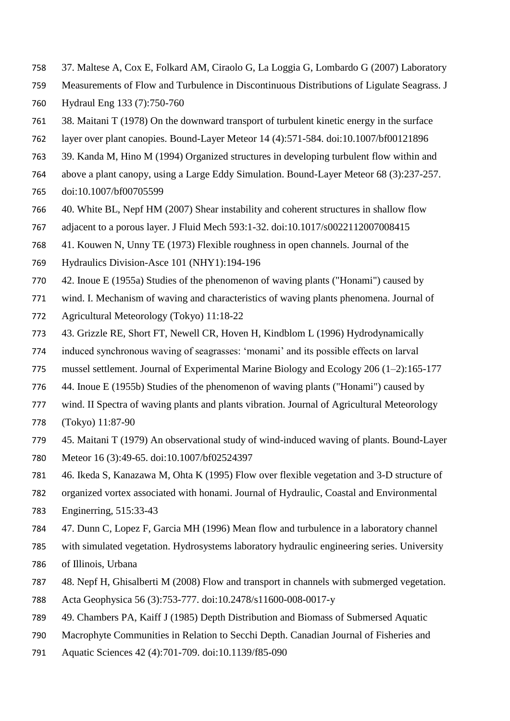- 37. Maltese A, Cox E, Folkard AM, Ciraolo G, La Loggia G, Lombardo G (2007) Laboratory
- Measurements of Flow and Turbulence in Discontinuous Distributions of Ligulate Seagrass. J
- Hydraul Eng 133 (7):750-760
- 38. Maitani T (1978) On the downward transport of turbulent kinetic energy in the surface
- layer over plant canopies. Bound-Layer Meteor 14 (4):571-584. doi:10.1007/bf00121896
- 39. Kanda M, Hino M (1994) Organized structures in developing turbulent flow within and
- above a plant canopy, using a Large Eddy Simulation. Bound-Layer Meteor 68 (3):237-257.
- doi:10.1007/bf00705599
- 40. White BL, Nepf HM (2007) Shear instability and coherent structures in shallow flow
- adjacent to a porous layer. J Fluid Mech 593:1-32. doi:10.1017/s0022112007008415
- 41. Kouwen N, Unny TE (1973) Flexible roughness in open channels. Journal of the
- Hydraulics Division-Asce 101 (NHY1):194-196
- 42. Inoue E (1955a) Studies of the phenomenon of waving plants ("Honami") caused by
- wind. I. Mechanism of waving and characteristics of waving plants phenomena. Journal of
- Agricultural Meteorology (Tokyo) 11:18-22
- 43. Grizzle RE, Short FT, Newell CR, Hoven H, Kindblom L (1996) Hydrodynamically
- induced synchronous waving of seagrasses: 'monami' and its possible effects on larval
- mussel settlement. Journal of Experimental Marine Biology and Ecology 206 (1–2):165-177
- 44. Inoue E (1955b) Studies of the phenomenon of waving plants ("Honami") caused by
- wind. II Spectra of waving plants and plants vibration. Journal of Agricultural Meteorology
- (Tokyo) 11:87-90
- 45. Maitani T (1979) An observational study of wind-induced waving of plants. Bound-Layer Meteor 16 (3):49-65. doi:10.1007/bf02524397
- 46. Ikeda S, Kanazawa M, Ohta K (1995) Flow over flexible vegetation and 3-D structure of
- organized vortex associated with honami. Journal of Hydraulic, Coastal and Environmental
- Enginerring, 515:33-43
- 47. Dunn C, Lopez F, Garcia MH (1996) Mean flow and turbulence in a laboratory channel
- with simulated vegetation. Hydrosystems laboratory hydraulic engineering series. University
- of Illinois, Urbana
- 48. Nepf H, Ghisalberti M (2008) Flow and transport in channels with submerged vegetation.
- Acta Geophysica 56 (3):753-777. doi:10.2478/s11600-008-0017-y
- 49. Chambers PA, Kaiff J (1985) Depth Distribution and Biomass of Submersed Aquatic
- Macrophyte Communities in Relation to Secchi Depth. Canadian Journal of Fisheries and
- Aquatic Sciences 42 (4):701-709. doi:10.1139/f85-090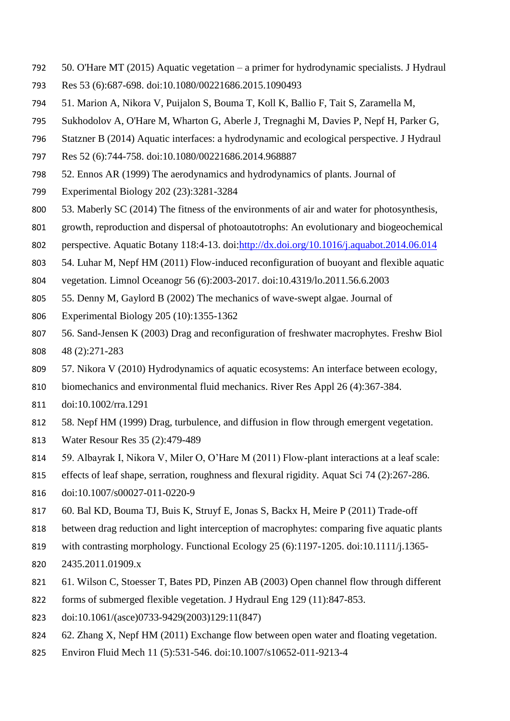- 50. O'Hare MT (2015) Aquatic vegetation a primer for hydrodynamic specialists. J Hydraul
- Res 53 (6):687-698. doi:10.1080/00221686.2015.1090493
- 51. Marion A, Nikora V, Puijalon S, Bouma T, Koll K, Ballio F, Tait S, Zaramella M,
- Sukhodolov A, O'Hare M, Wharton G, Aberle J, Tregnaghi M, Davies P, Nepf H, Parker G,
- Statzner B (2014) Aquatic interfaces: a hydrodynamic and ecological perspective. J Hydraul
- Res 52 (6):744-758. doi:10.1080/00221686.2014.968887
- 52. Ennos AR (1999) The aerodynamics and hydrodynamics of plants. Journal of
- Experimental Biology 202 (23):3281-3284
- 53. Maberly SC (2014) The fitness of the environments of air and water for photosynthesis,
- growth, reproduction and dispersal of photoautotrophs: An evolutionary and biogeochemical
- perspective. Aquatic Botany 118:4-13. doi[:http://dx.doi.org/10.1016/j.aquabot.2014.06.014](http://dx.doi.org/10.1016/j.aquabot.2014.06.014)
- 54. Luhar M, Nepf HM (2011) Flow-induced reconfiguration of buoyant and flexible aquatic
- vegetation. Limnol Oceanogr 56 (6):2003-2017. doi:10.4319/lo.2011.56.6.2003
- 55. Denny M, Gaylord B (2002) The mechanics of wave-swept algae. Journal of
- Experimental Biology 205 (10):1355-1362
- 56. Sand-Jensen K (2003) Drag and reconfiguration of freshwater macrophytes. Freshw Biol 48 (2):271-283
- 57. Nikora V (2010) Hydrodynamics of aquatic ecosystems: An interface between ecology,
- biomechanics and environmental fluid mechanics. River Res Appl 26 (4):367-384.
- doi:10.1002/rra.1291
- 58. Nepf HM (1999) Drag, turbulence, and diffusion in flow through emergent vegetation.
- Water Resour Res 35 (2):479-489
- 59. Albayrak I, Nikora V, Miler O, O'Hare M (2011) Flow-plant interactions at a leaf scale:
- effects of leaf shape, serration, roughness and flexural rigidity. Aquat Sci 74 (2):267-286.
- doi:10.1007/s00027-011-0220-9
- 60. Bal KD, Bouma TJ, Buis K, Struyf E, Jonas S, Backx H, Meire P (2011) Trade-off
- between drag reduction and light interception of macrophytes: comparing five aquatic plants
- with contrasting morphology. Functional Ecology 25 (6):1197-1205. doi:10.1111/j.1365-
- 2435.2011.01909.x
- 61. Wilson C, Stoesser T, Bates PD, Pinzen AB (2003) Open channel flow through different
- forms of submerged flexible vegetation. J Hydraul Eng 129 (11):847-853.
- doi:10.1061/(asce)0733-9429(2003)129:11(847)
- 62. Zhang X, Nepf HM (2011) Exchange flow between open water and floating vegetation.
- Environ Fluid Mech 11 (5):531-546. doi:10.1007/s10652-011-9213-4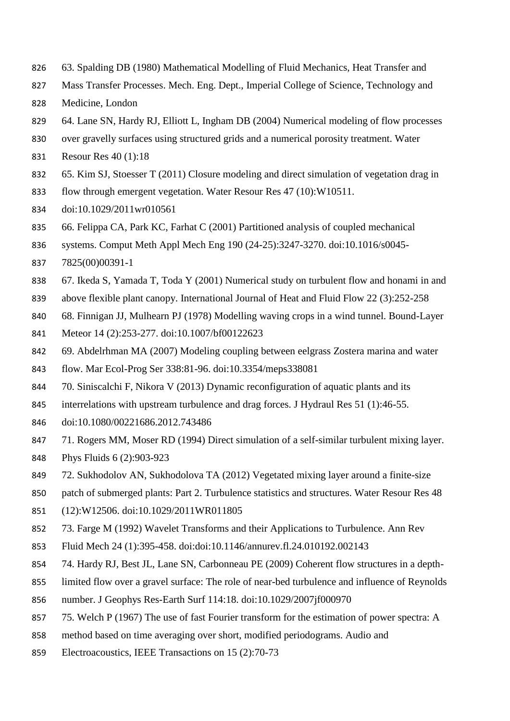- 63. Spalding DB (1980) Mathematical Modelling of Fluid Mechanics, Heat Transfer and
- Mass Transfer Processes. Mech. Eng. Dept., Imperial College of Science, Technology and
- Medicine, London
- 64. Lane SN, Hardy RJ, Elliott L, Ingham DB (2004) Numerical modeling of flow processes
- over gravelly surfaces using structured grids and a numerical porosity treatment. Water
- Resour Res 40 (1):18
- 65. Kim SJ, Stoesser T (2011) Closure modeling and direct simulation of vegetation drag in
- flow through emergent vegetation. Water Resour Res 47 (10):W10511.
- doi:10.1029/2011wr010561
- 66. Felippa CA, Park KC, Farhat C (2001) Partitioned analysis of coupled mechanical
- systems. Comput Meth Appl Mech Eng 190 (24-25):3247-3270. doi:10.1016/s0045-
- 7825(00)00391-1
- 67. Ikeda S, Yamada T, Toda Y (2001) Numerical study on turbulent flow and honami in and
- above flexible plant canopy. International Journal of Heat and Fluid Flow 22 (3):252-258
- 68. Finnigan JJ, Mulhearn PJ (1978) Modelling waving crops in a wind tunnel. Bound-Layer
- Meteor 14 (2):253-277. doi:10.1007/bf00122623
- 69. Abdelrhman MA (2007) Modeling coupling between eelgrass Zostera marina and water
- flow. Mar Ecol-Prog Ser 338:81-96. doi:10.3354/meps338081
- 70. Siniscalchi F, Nikora V (2013) Dynamic reconfiguration of aquatic plants and its
- interrelations with upstream turbulence and drag forces. J Hydraul Res 51 (1):46-55.
- doi:10.1080/00221686.2012.743486
- 71. Rogers MM, Moser RD (1994) Direct simulation of a self-similar turbulent mixing layer.
- Phys Fluids 6 (2):903-923
- 72. Sukhodolov AN, Sukhodolova TA (2012) Vegetated mixing layer around a finite-size
- patch of submerged plants: Part 2. Turbulence statistics and structures. Water Resour Res 48
- (12):W12506. doi:10.1029/2011WR011805
- 73. Farge M (1992) Wavelet Transforms and their Applications to Turbulence. Ann Rev
- Fluid Mech 24 (1):395-458. doi:doi:10.1146/annurev.fl.24.010192.002143
- 74. Hardy RJ, Best JL, Lane SN, Carbonneau PE (2009) Coherent flow structures in a depth-
- limited flow over a gravel surface: The role of near-bed turbulence and influence of Reynolds
- number. J Geophys Res-Earth Surf 114:18. doi:10.1029/2007jf000970
- 75. Welch P (1967) The use of fast Fourier transform for the estimation of power spectra: A
- method based on time averaging over short, modified periodograms. Audio and
- Electroacoustics, IEEE Transactions on 15 (2):70-73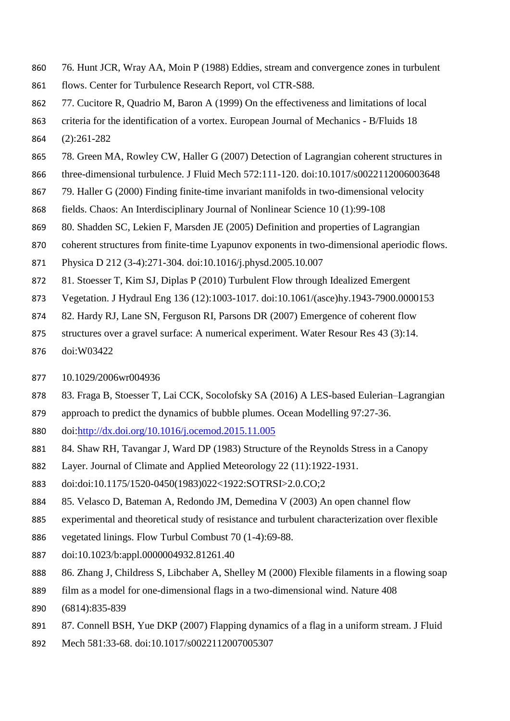- 76. Hunt JCR, Wray AA, Moin P (1988) Eddies, stream and convergence zones in turbulent
- 861 flows. Center for Turbulence Research Report, vol CTR-S88.
- 77. Cucitore R, Quadrio M, Baron A (1999) On the effectiveness and limitations of local
- criteria for the identification of a vortex. European Journal of Mechanics B/Fluids 18
- (2):261-282
- 78. Green MA, Rowley CW, Haller G (2007) Detection of Lagrangian coherent structures in
- three-dimensional turbulence. J Fluid Mech 572:111-120. doi:10.1017/s0022112006003648
- 79. Haller G (2000) Finding finite-time invariant manifolds in two-dimensional velocity
- fields. Chaos: An Interdisciplinary Journal of Nonlinear Science 10 (1):99-108
- 80. Shadden SC, Lekien F, Marsden JE (2005) Definition and properties of Lagrangian
- coherent structures from finite-time Lyapunov exponents in two-dimensional aperiodic flows.
- Physica D 212 (3-4):271-304. doi:10.1016/j.physd.2005.10.007
- 81. Stoesser T, Kim SJ, Diplas P (2010) Turbulent Flow through Idealized Emergent
- Vegetation. J Hydraul Eng 136 (12):1003-1017. doi:10.1061/(asce)hy.1943-7900.0000153
- 82. Hardy RJ, Lane SN, Ferguson RI, Parsons DR (2007) Emergence of coherent flow
- structures over a gravel surface: A numerical experiment. Water Resour Res 43 (3):14.
- doi:W03422
- 10.1029/2006wr004936
- 83. Fraga B, Stoesser T, Lai CCK, Socolofsky SA (2016) A LES-based Eulerian–Lagrangian
- approach to predict the dynamics of bubble plumes. Ocean Modelling 97:27-36.
- doi[:http://dx.doi.org/10.1016/j.ocemod.2015.11.005](http://dx.doi.org/10.1016/j.ocemod.2015.11.005)
- 881 84. Shaw RH, Tavangar J, Ward DP (1983) Structure of the Reynolds Stress in a Canopy
- Layer. Journal of Climate and Applied Meteorology 22 (11):1922-1931.
- doi:doi:10.1175/1520-0450(1983)022<1922:SOTRSI>2.0.CO;2
- 85. Velasco D, Bateman A, Redondo JM, Demedina V (2003) An open channel flow
- experimental and theoretical study of resistance and turbulent characterization over flexible
- vegetated linings. Flow Turbul Combust 70 (1-4):69-88.
- doi:10.1023/b:appl.0000004932.81261.40
- 86. Zhang J, Childress S, Libchaber A, Shelley M (2000) Flexible filaments in a flowing soap
- film as a model for one-dimensional flags in a two-dimensional wind. Nature 408 (6814):835-839
- 891 87. Connell BSH, Yue DKP (2007) Flapping dynamics of a flag in a uniform stream. J Fluid
- Mech 581:33-68. doi:10.1017/s0022112007005307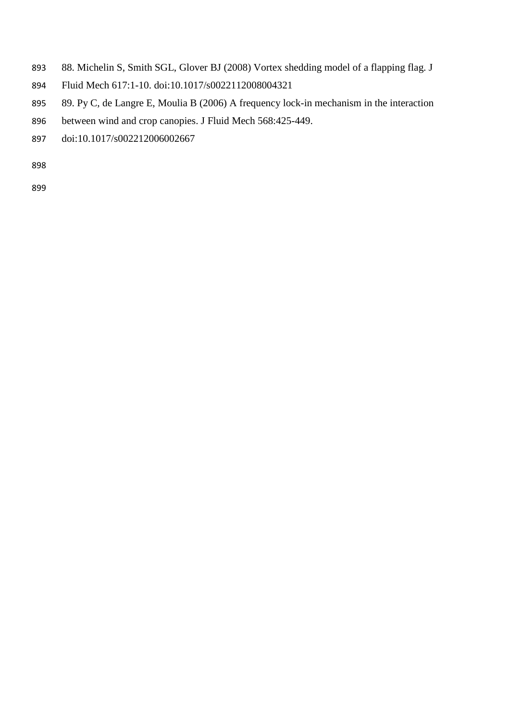- 88. Michelin S, Smith SGL, Glover BJ (2008) Vortex shedding model of a flapping flag. J
- Fluid Mech 617:1-10. doi:10.1017/s0022112008004321
- 89. Py C, de Langre E, Moulia B (2006) A frequency lock-in mechanism in the interaction
- between wind and crop canopies. J Fluid Mech 568:425-449.
- doi:10.1017/s002212006002667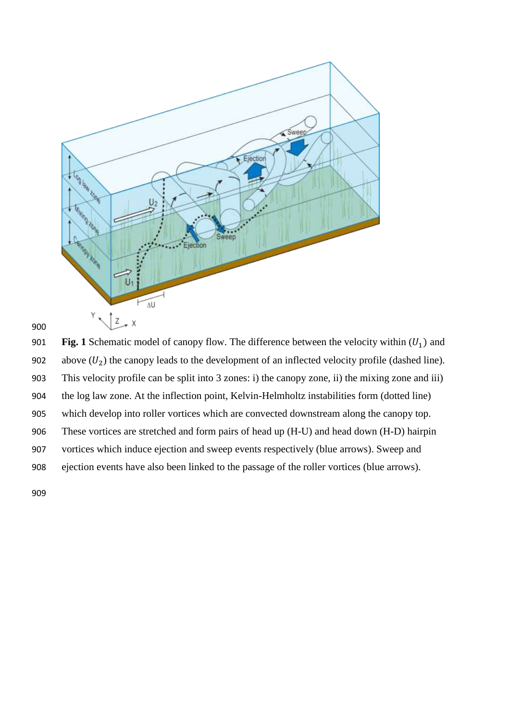



901 **Fig.** 1 Schematic model of canopy flow. The difference between the velocity within  $(U_1)$  and 902 above  $(U_2)$  the canopy leads to the development of an inflected velocity profile (dashed line). This velocity profile can be split into 3 zones: i) the canopy zone, ii) the mixing zone and iii) the log law zone. At the inflection point, Kelvin-Helmholtz instabilities form (dotted line) which develop into roller vortices which are convected downstream along the canopy top. These vortices are stretched and form pairs of head up (H-U) and head down (H-D) hairpin vortices which induce ejection and sweep events respectively (blue arrows). Sweep and ejection events have also been linked to the passage of the roller vortices (blue arrows).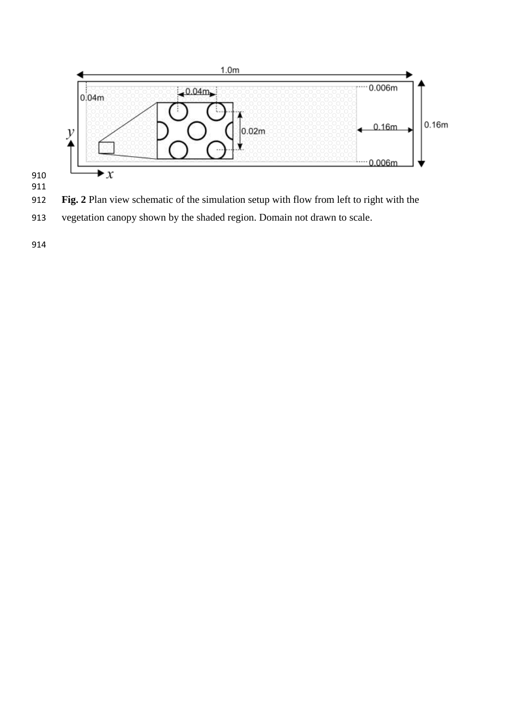

**Fig. 2** Plan view schematic of the simulation setup with flow from left to right with the

vegetation canopy shown by the shaded region. Domain not drawn to scale.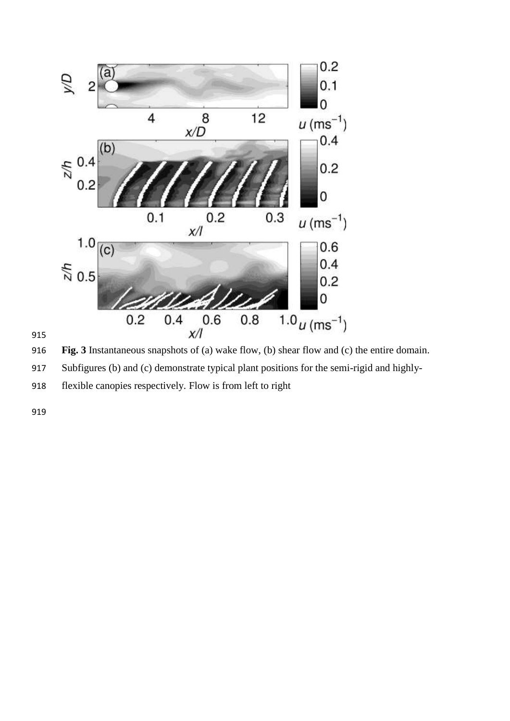

Subfigures (b) and (c) demonstrate typical plant positions for the semi-rigid and highly-

flexible canopies respectively. Flow is from left to right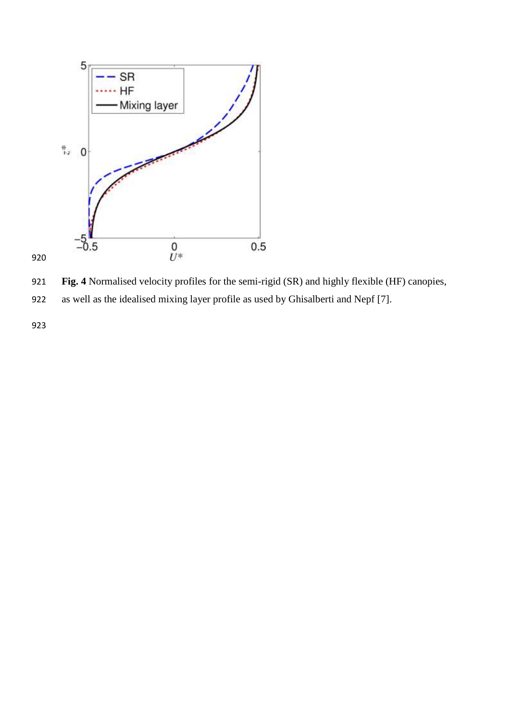

**Fig. 4** Normalised velocity profiles for the semi-rigid (SR) and highly flexible (HF) canopies,

as well as the idealised mixing layer profile as used by Ghisalberti and Nepf [7].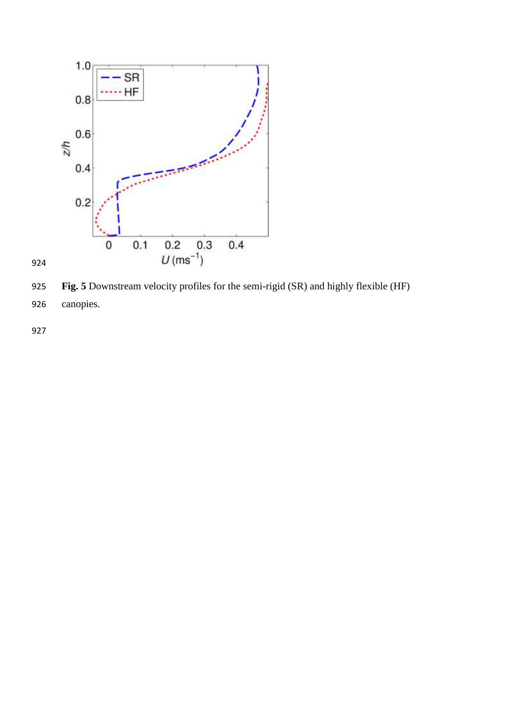

 **Fig. 5** Downstream velocity profiles for the semi-rigid (SR) and highly flexible (HF) canopies.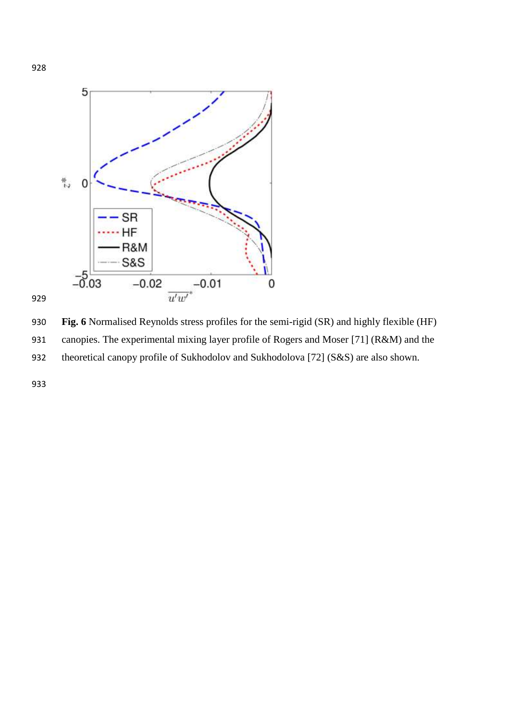



 **Fig. 6** Normalised Reynolds stress profiles for the semi-rigid (SR) and highly flexible (HF) canopies. The experimental mixing layer profile of Rogers and Moser [71] (R&M) and the 932 theoretical canopy profile of Sukhodolov and Sukhodolova [72] (S&S) are also shown.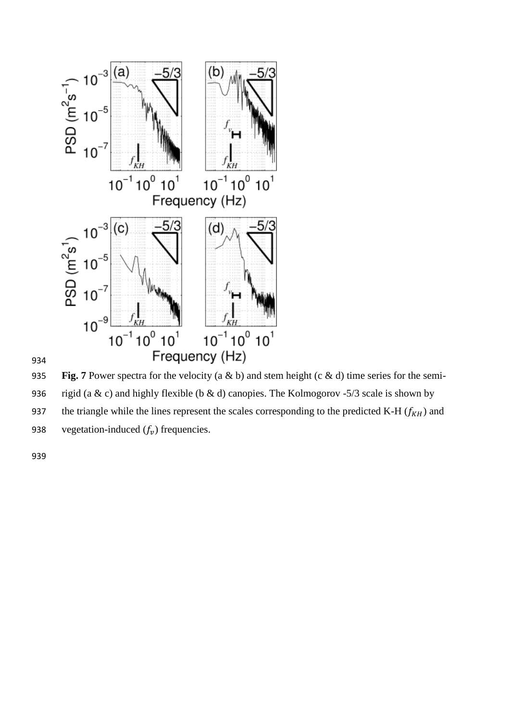



935 **Fig. 7** Power spectra for the velocity (a & b) and stem height (c & d) time series for the semi-

936 rigid (a & c) and highly flexible (b & d) canopies. The Kolmogorov -5/3 scale is shown by

937 the triangle while the lines represent the scales corresponding to the predicted K-H  $(f_{KH})$  and

938 vegetation-induced  $(f_v)$  frequencies.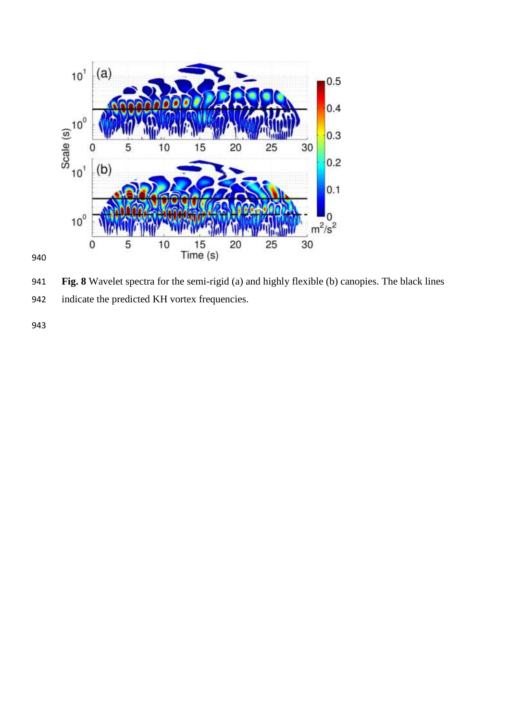

**Fig. 8** Wavelet spectra for the semi-rigid (a) and highly flexible (b) canopies. The black lines

indicate the predicted KH vortex frequencies.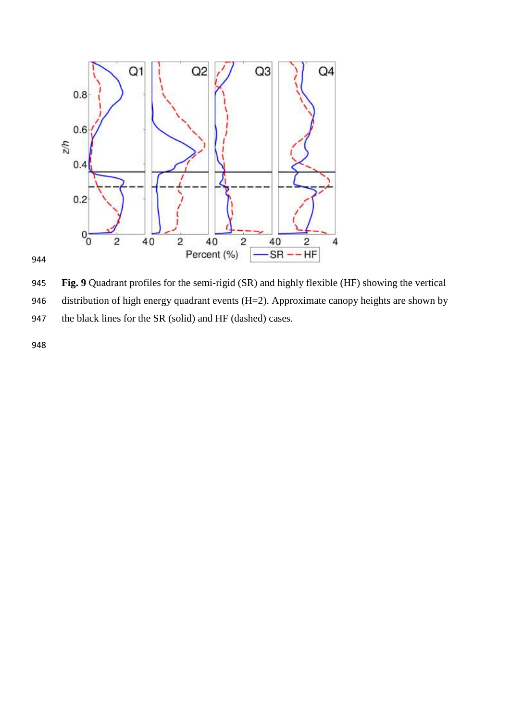



 **Fig. 9** Quadrant profiles for the semi-rigid (SR) and highly flexible (HF) showing the vertical distribution of high energy quadrant events (H=2). Approximate canopy heights are shown by

the black lines for the SR (solid) and HF (dashed) cases.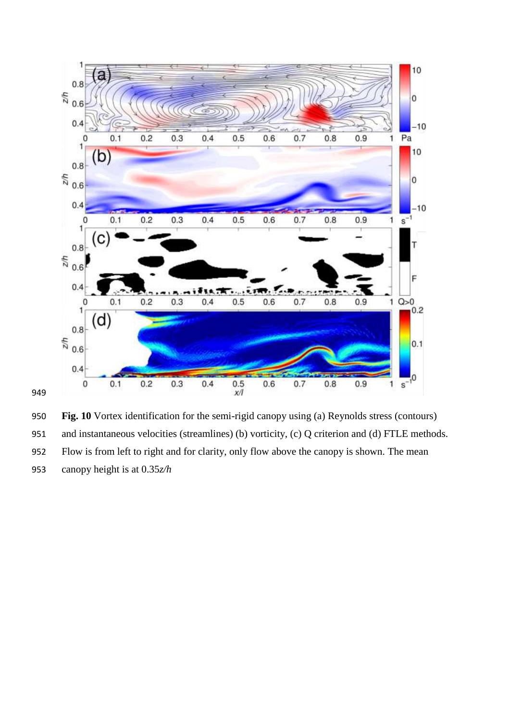

 **Fig. 10** Vortex identification for the semi-rigid canopy using (a) Reynolds stress (contours) 951 and instantaneous velocities (streamlines) (b) vorticity, (c) Q criterion and (d) FTLE methods. Flow is from left to right and for clarity, only flow above the canopy is shown. The mean canopy height is at 0.35*z/h*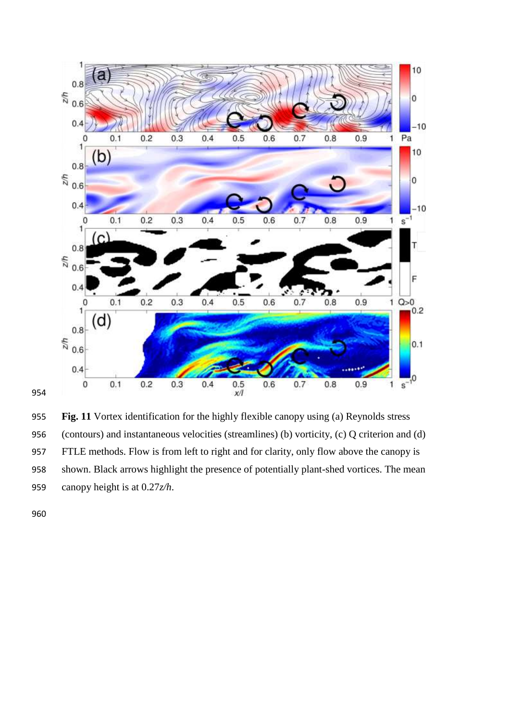

 **Fig. 11** Vortex identification for the highly flexible canopy using (a) Reynolds stress (contours) and instantaneous velocities (streamlines) (b) vorticity, (c) Q criterion and (d) FTLE methods. Flow is from left to right and for clarity, only flow above the canopy is shown. Black arrows highlight the presence of potentially plant-shed vortices. The mean canopy height is at 0.27*z/h*.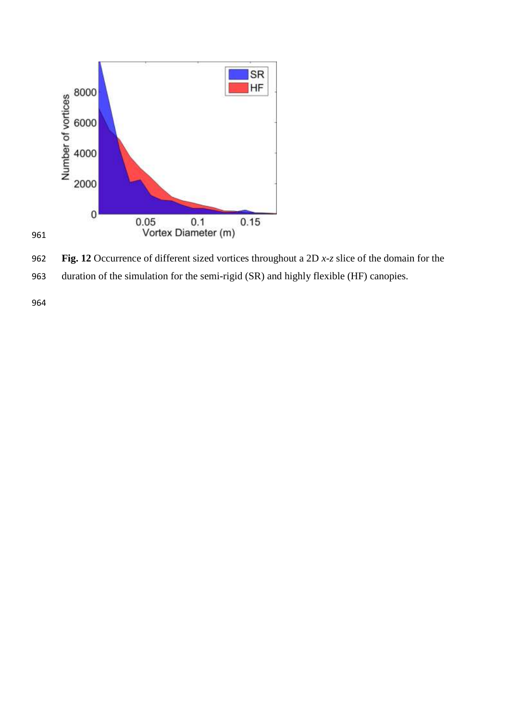

**Fig. 12** Occurrence of different sized vortices throughout a 2D *x*-*z* slice of the domain for the

duration of the simulation for the semi-rigid (SR) and highly flexible (HF) canopies.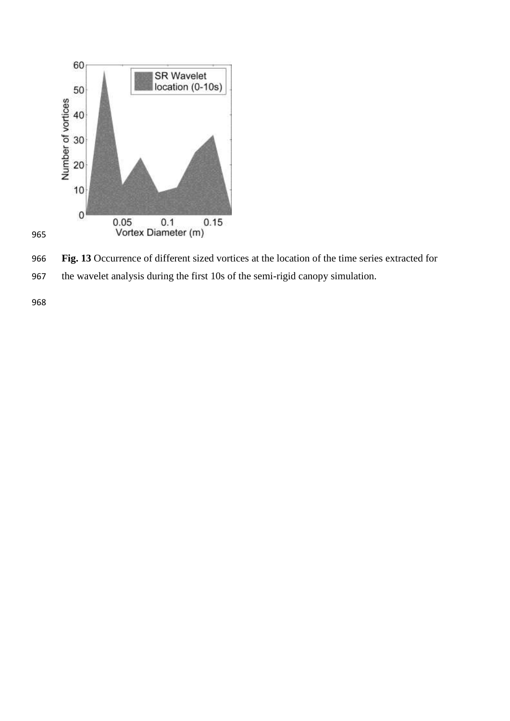

**Fig. 13** Occurrence of different sized vortices at the location of the time series extracted for